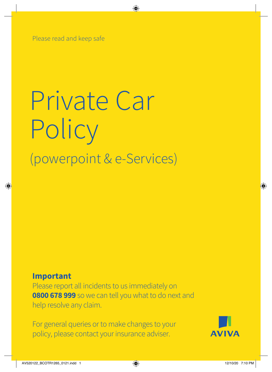Please read and keep safe

# Private Car Policy (powerpoint & e-Services)

### **Important**

Please report all incidents to us immediately on **0800 678 999** so we can tell you what to do next and help resolve any claim.

For general queries or to make changes to your policy, please contact your insurance adviser.

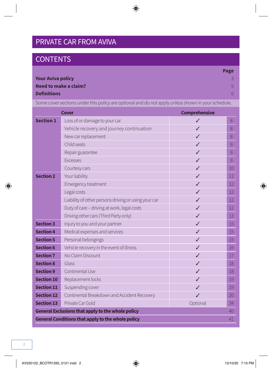### PRIVATE CAR FROM AVIVA

### **CONTENTS**

|                          | Page |
|--------------------------|------|
| <b>Your Aviva policy</b> |      |
| Need to make a claim?    | 5.   |
| <b>Definitions</b>       | -67  |
|                          |      |

Some cover sections under this policy are optional and do not apply unless shown in your schedule.

|                                                         | <b>Cover</b>                                             | <b>Comprehensive</b> |    |
|---------------------------------------------------------|----------------------------------------------------------|----------------------|----|
| <b>Section 1</b>                                        | Loss of or damage to your car                            | ✓                    | 8  |
|                                                         | Vehicle recovery and journey continuation                | ✓                    | 8  |
|                                                         | New car replacement                                      | ✓                    | 8  |
|                                                         | Child seats                                              | ✓                    | 9  |
|                                                         | Repair guarantee                                         | ✓                    | 9  |
|                                                         | <b>Excesses</b>                                          | ✓                    | 9  |
|                                                         | Courtesy cars                                            | ✓                    | 10 |
| <b>Section 2</b>                                        | Your liability                                           |                      | 11 |
|                                                         | Emergency treatment                                      | ✓                    | 12 |
|                                                         | Legal costs                                              | ✓                    | 12 |
|                                                         | Liability of other persons driving or using your car     | ✓                    | 12 |
|                                                         | Duty of care - driving at work, legal costs              | ℐ                    | 12 |
|                                                         | Driving other cars (Third Party only)                    |                      | 13 |
| <b>Section 3</b>                                        | Injury to you and your partner                           | ℐ                    | 15 |
| <b>Section 4</b>                                        | Medical expenses and services                            | ✓                    | 15 |
| <b>Section 5</b>                                        | Personal belongings                                      | ✓                    | 15 |
| <b>Section 6</b>                                        | Vehicle recovery in the event of illness                 | ✓                    | 16 |
| <b>Section 7</b>                                        | No Claim Discount                                        | ℐ                    | 17 |
| <b>Section 8</b>                                        | Glass                                                    | ✓                    | 18 |
| <b>Section 9</b>                                        | Continental Use                                          | ✓                    | 18 |
| <b>Section 10</b>                                       | Replacement locks                                        |                      | 19 |
| <b>Section 11</b>                                       | Suspending cover                                         | ✓                    | 19 |
| <b>Section 12</b>                                       | Continental Breakdown and Accident Recovery              | ✓                    | 20 |
| <b>Section 13</b>                                       | Private Car Gold                                         | Optional             | 34 |
| General Exclusions that apply to the whole policy<br>40 |                                                          |                      |    |
|                                                         | <b>General Conditions that apply to the whole policy</b> |                      | 41 |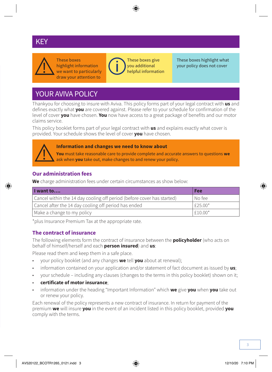### **PRIVATE CAREY**



These boxes highlight information we want to particularly draw your attention to



These boxes give you additional helpful information These boxes highlight what your policy does not cover

### YOUR AVIVA POLICY

Thankyou for choosing to insure with Aviva. This policy forms part of your legal contract with **us** and defines exactly what **you** are covered against. Please refer to your schedule for confirmation of the level of cover **you** have chosen. **You** now have access to a great package of benefits and our motor claims service.

This policy booklet forms part of your legal contract with **us** and explains exactly what cover is provided. Your schedule shows the level of cover **you** have chosen.



#### **Information and changes we need to know about**

**You** must take reasonable care to provide complete and accurate answers to questions **we** ask when **you** take out, make changes to and renew your policy.

#### **Our administration fees**

**We** charge administration fees under certain circumstances as show below:

| I want to                                                              | Fee       |
|------------------------------------------------------------------------|-----------|
| Cancel within the 14 day cooling off period (before cover has started) | I No fee  |
| Cancel after the 14 day cooling off period has ended                   | $F25.00*$ |
| Make a change to my policy                                             | $F10.00*$ |

\*plus Insurance Premium Tax at the appropriate rate.

#### **The contract of insurance**

The following elements form the contract of insurance between the **policyholder** (who acts on behalf of himself/herself and each **person insured**) and **us**:

Please read them and keep them in a safe place.

- your policy booklet (and any changes **we** tell **you** about at renewal);
- information contained on your application and/or statement of fact document as issued by **us**;
- your schedule including any clauses (changes to the terms in this policy booklet) shown on it;
- **certificate of motor insurance**;
- information under the heading "Important Information" which **we** give **you** when **you** take out or renew your policy.

Each renewal of the policy represents a new contract of insurance. In return for payment of the premium **we** will insure **you** in the event of an incident listed in this policy booklet, provided **you** comply with the terms.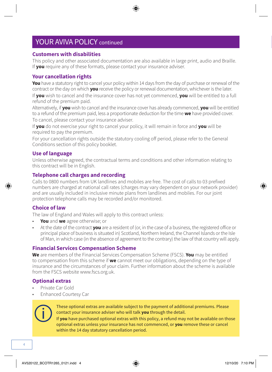### YOUR AVIVA POLICY continued

#### **Customers with disabilities**

This policy and other associated documentation are also available in large print, audio and Braille. If **you** require any of these formats, please contact your insurance adviser.

#### **Your cancellation rights**

**You** have a statutory right to cancel your policy within 14 days from the day of purchase or renewal of the contract or the day on which **you** receive the policy or renewal documentation, whichever is the later.

If **you** wish to cancel and the insurance cover has not yet commenced, **you** will be entitled to a full refund of the premium paid.

Alternatively, if **you** wish to cancel and the insurance cover has already commenced, **you** will be entitled to a refund of the premium paid, less a proportionate deduction for the time **we** have provided cover. To cancel, please contact your insurance adviser.

If **you** do not exercise your right to cancel your policy, it will remain in force and **you** will be required to pay the premium.

For your cancellation rights outside the statutory cooling off period, please refer to the General Conditions section of this policy booklet.

#### **Use of language**

Unless otherwise agreed, the contractual terms and conditions and other information relating to this contract will be in English.

#### **Telephone call charges and recording**

Calls to 0800 numbers from UK landlines and mobiles are free. The cost of calls to 03 prefixed numbers are charged at national call rates (charges may vary dependent on your network provider) and are usually included in inclusive minute plans from landlines and mobiles. For our joint protection telephone calls may be recorded and/or monitored.

#### **Choice of law**

The law of England and Wales will apply to this contract unless:

- **You** and **we** agree otherwise; or
- At the date of the contract **you** are a resident of (or, in the case of a business, the registered office or principal place of business is situated in) Scotland, Northern Ireland, the Channel Islands or the Isle of Man, in which case (in the absence of agreement to the contrary) the law of that country will apply.

#### **Financial Services Compensation Scheme**

**We** are members of the Financial Services Compensation Scheme (FSCS). **You** may be entitled to compensation from this scheme if **we** cannot meet our obligations, depending on the type of insurance and the circumstances of your claim. Further information about the scheme is available from the FSCS website [www.fscs.org.uk](http://www.fscs.org.uk).

#### **Optional extras**

- Private Car Gold
- Enhanced Courtesy Car



These optional extras are available subject to the payment of additional premiums. Please contact your insurance adviser who will talk **you** through the detail.

If **you** have purchased optional extras with this policy, a refund may not be available on those optional extras unless your insurance has not commenced, or **you** remove these or cancel within the 14 day statutory cancellation period.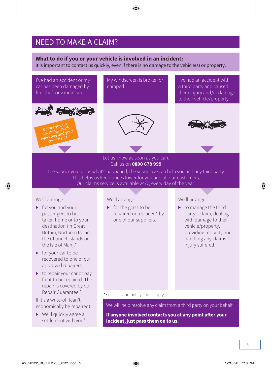### NEED TO MAKE A CLAIM?

#### **What to do if you or your vehicle is involved in an incident:**

It is important to contact us quickly, even if there is no damage to the vehicle(s) or property.



Let us know as soon as you can. Call us on **0800 678 999**

The sooner you tell us what's happened, the sooner we can help you and any third party. This helps us keep prices lower for you and all our customers. Our claims service is available 24/7, every day of the year.

We'll arrange:

- $\blacktriangleright$  for you and your passengers to be taken home or to your destination (in Great Britain, Northern Ireland, the Channel Islands or the Isle of Man).\*
- ▶ for your car to be recovered to one of our approved repairers.
- $\triangleright$  to repair your car or pay for it to be repaired. The repair is covered by our Repair Guarantee.\*

If it's a write-off (can't economically be repaired):

▶ We'll quickly agree a settlement with you\* We'll arrange:

 $\triangleright$  for the glass to be repaired or replaced\* by one of our suppliers.

We'll arrange:

 $\triangleright$  to manage the third party's claim, dealing with damage to their vehicle/property, providing mobility and handling any claims for injury suffered.

\*Excesses and policy limits apply.

We will help resolve any claim from a third party on your behalf

**If anyone involved contacts you at any point after your incident, just pass them on to us.**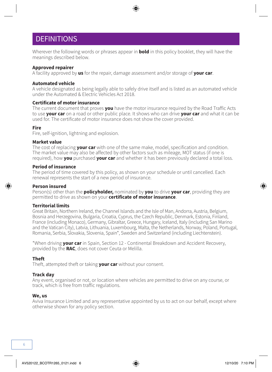### **DEFINITIONS**

Wherever the following words or phrases appear in **bold** in this policy booklet, they will have the meanings described below.

#### **Approved repairer**

A facility approved by **us** for the repair, damage assessment and/or storage of **your car**.

#### **Automated vehicle**

A vehicle designated as being legally able to safely drive itself and is listed as an automated vehicle under the Automated & Electric Vehicles Act 2018.

#### **Certificate of motor insurance**

The current document that proves **you** have the motor insurance required by the Road Traffic Acts to use **your car** on a road or other public place. It shows who can drive **your car** and what it can be used for. The certificate of motor insurance does not show the cover provided.

#### **Fire**

Fire, self-ignition, lightning and explosion.

#### **Market value**

The cost of replacing **your car** with one of the same make, model, specification and condition. The market value may also be affected by other factors such as mileage, MOT status (if one is required), how **you** purchased **your car** and whether it has been previously declared a total loss.

#### **Period of insurance**

The period of time covered by this policy, as shown on your schedule or until cancelled. Each renewal represents the start of a new period of insurance.

#### **Person insured**

Person(s) other than the **policyholder,** nominated by **you** to drive **your car**, providing they are permitted to drive as shown on your **certificate of motor insurance**.

#### **Territorial limits**

Great Britain, Northern Ireland, the Channel Islands and the Isle of Man, Andorra, Austria, Belgium, Bosnia and Herzegovina, Bulgaria, Croatia, Cyprus, the Czech Republic, Denmark, Estonia, Finland, France (including Monaco), Germany, Gibraltar, Greece, Hungary, Iceland, Italy (including San Marino and the Vatican City), Latvia, Lithuania, Luxembourg, Malta, the Netherlands, Norway, Poland, Portugal, Romania, Serbia, Slovakia, Slovenia, Spain\*, Sweden and Switzerland (including Liechtenstein).

\*When driving **your car** in Spain, Section 12 - Continental Breakdown and Accident Recovery, provided by the **RAC**, does not cover Ceuta or Melilla.

#### **Theft**

Theft, attempted theft or taking **your car** without your consent.

#### **Track day**

Any event, organised or not, or location where vehicles are permitted to drive on any course, or track, which is free from traffic regulations.

#### **We, us**

Aviva Insurance Limited and any representative appointed by us to act on our behalf, except where otherwise shown for any policy section.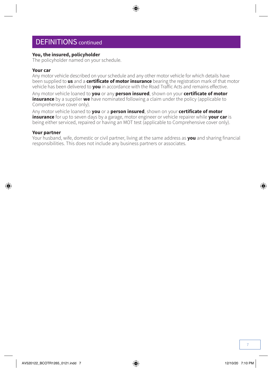### DEFINITIONS continued

#### **You, the insured, policyholder**

The policyholder named on your schedule.

#### **Your car**

Any motor vehicle described on your schedule and any other motor vehicle for which details have been supplied to **us** and a **certificate of motor insurance** bearing the registration mark of that motor vehicle has been delivered to **you** in accordance with the Road Traffic Acts and remains effective.

Any motor vehicle loaned to **you** or any **person insured**, shown on your **certificate of motor insurance** by a supplier **we** have nominated following a claim under the policy (applicable to Comprehensive cover only).

Any motor vehicle loaned to **you** or a **person insured**, shown on your **certificate of motor insurance** for up to seven days by a garage, motor engineer or vehicle repairer while **your car** is being either serviced, repaired or having an MOT test (applicable to Comprehensive cover only).

#### **Your partner**

Your husband, wife, domestic or civil partner, living at the same address as **you** and sharing financial responsibilities. This does not include any business partners or associates.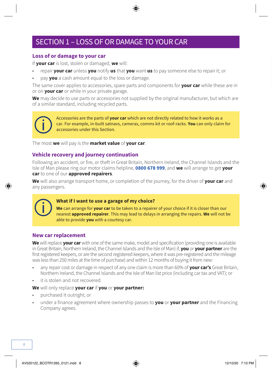### SECTION 1 – LOSS OF OR DAMAGE TO YOUR CAR

#### **Loss of or damage to your car**

If **your car** is lost, stolen or damaged, **we** will:

- repair **your car** unless **you** notify **us** that **you** want **us** to pay someone else to repair it; or
- pay **you** a cash amount equal to the loss or damage.

The same cover applies to accessories, spare parts and components for **your car** while these are in or on **your car** or while in your private garage.

**We** may decide to use parts or accessories not supplied by the original manufacturer, but which are of a similar standard, including recycled parts.

Accessories are the parts of **your car** which are not directly related to how it works as a car. For example, in-built satnavs, cameras, comms kit or roof-racks. **You** can only claim for accessories under this Section.

The most **we** will pay is the **market value** of **your car**.

#### **Vehicle recovery and journey continuation**

Following an accident, or fire, or theft in Great Britain, Northern Ireland, the Channel Islands and the Isle of Man please ring our motor claims helpline, **0800 678 999**, and **we** will arrange to get **your car** to one of our **approved repairers**.

**We** will also arrange transport home, or completion of the journey, for the driver of **your car** and any passengers.



#### **What if I want to use a garage of my choice?**

**We** can arrange for **your car** to be taken to a repairer of your choice if it is closer than our nearest **approved repairer**. This may lead to delays in arranging the repairs. **We** will not be able to provide **you** with a courtesy car.

#### **New car replacement**

**We** will replace **your car** with one of the same make, model and specification (providing one is available in Great Britain, Northern Ireland, the Channel Islands and the Isle of Man) if, **you** or **your partner** are the first registered keepers, or are the second registered keepers, where it was pre-registered and the mileage was less than 250 miles at the time of purchase) and within 12 months of buying it from new:

- any repair cost or damage in respect of any one claim is more than 60% of **your car's** Great Britain, Northern Ireland, the Channel Islands and the Isle of Man list price (including car tax and VAT); or
- it is stolen and not recovered.

**We** will only replace **your car** if **you** or **your partner:**

- purchased it outright; or
- under a finance agreement where ownership passes to **you** or **your partner** and the Financing Company agrees.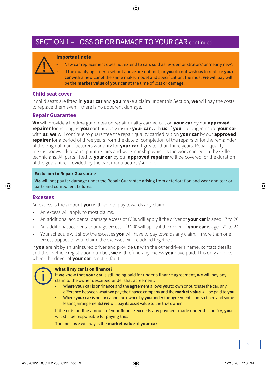### SECTION 1 – LOSS OF OR DAMAGE TO YOUR CAR continued

#### **Important note**

- New car replacement does not extend to cars sold as 'ex-demonstrators' or 'nearly new'.
- If the qualifying criteria set out above are not met, or **you** do not wish **us** to replace **your car** with a new car of the same make, model and specification, the most **we** will pay will be the **market value** of **your car** at the time of loss or damage.

#### **Child seat cover**

If child seats are fitted in **your car** and **you** make a claim under this Section, **we** will pay the costs to replace them even if there is no apparent damage.

#### **Repair Guarantee**

**We** will provide a lifetime guarantee on repair quality carried out on **your car** by our **approved repairer** for as long as **you** continuously insure **your car** with **us**. If **you** no longer insure **your car** with **us**, **we** will continue to guarantee the repair quality carried out on **your car** by our **approved repairer** for a period of three years from the date of completion of the repairs or for the remainder of the original manufacturers warranty for **your car** if greater than three years. Repair quality means bodywork repairs, paint repairs and workmanship which is the work carried out by skilled technicians. All parts fitted to **your car** by our **approved repairer** will be covered for the duration of the guarantee provided by the part manufacturer/supplier.

#### **Exclusion to Repair Guarantee**

**We** will not pay for damage under the Repair Guarantee arising from deterioration and wear and tear or parts and component failures.

#### **Excesses**

An excess is the amount **you** will have to pay towards any claim.

- An excess will apply to most claims.
- An additional accidental damage excess of £300 will apply if the driver of **your car** is aged 17 to 20.
- An additional accidental damage excess of £200 will apply if the driver of **your car** is aged 21 to 24.
- Your schedule will show the excesses **you** will have to pay towards any claim. If more than one excess applies to your claim, the excesses will be added together.

If **you** are hit by an uninsured driver and provide **us** with the other driver's name, contact details and their vehicle registration number, **we** will refund any excess **you** have paid. This only applies where the driver of **your car** is not at fault.

#### **What if my car is on finance?**

If **we** know that **your car** is still being paid for under a finance agreement, **we** will pay any claim to the owner described under that agreement.

- Where **your car** is on finance and the agreement allows **you** to own or purchase the car, any difference between what **we** pay the finance company and the **market value** will be paid to **you**.
- Where **your car** is not or cannot be owned by **you** under the agreement (contract hire and some leasing arrangements) **we** will pay its asset value to the true owner.

If the outstanding amount of your finance exceeds any payment made under this policy, **you**  will still be responsible for paying this.

The most **we** will pay is the **market value** of **your car**.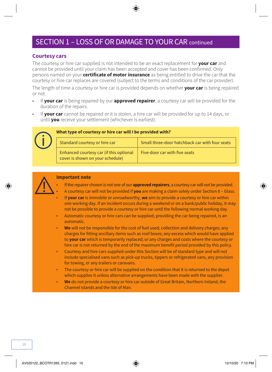### SECTION 1 – LOSS OF OR DAMAGE TO YOUR CAR continued

#### **Courtesy cars**

The courtesy or hire car supplied is not intended to be an exact replacement for **your car** and cannot be provided until your claim has been accepted and cover has been confirmed. Only persons named on your **certificate of motor insurance** as being entitled to drive the car that the courtesy or hire car replaces are covered (subject to the terms and conditions of the car provider).

The length of time a courtesy or hire car is provided depends on whether **your car** is being repaired or not.

- If **your car** is being repaired by our **approved repairer**, a courtesy car will be provided for the duration of the repairs.
- If **your car** cannot be repaired or it is stolen, a hire car will be provided for up to 14 days, or until **you** receive your settlement (whichever is earliest).



#### **What type of courtesy or hire car will I be provided with?**

| Standard courtesy or hire car                                               | Small three-door hatchback car with four seats |
|-----------------------------------------------------------------------------|------------------------------------------------|
| Enhanced courtesy car (if this optional<br>cover is shown on your schedule) | Five-door car with five seats                  |



#### **Important note**

- If the repairer chosen is not one of our **approved repairers**, a courtesy car will not be provided.
- A courtesy car will not be provided if **you** are making a claim solely under Section 8 Glass.
- If **your car** is immobile or unroadworthy, **we** aim to provide a courtesy or hire car within one working day. If an incident occurs during a weekend or on a bank/public holiday, it may not be possible to provide a courtesy or hire car until the following normal working day.
- Automatic courtesy or hire cars can be supplied, providing the car being repaired, is an automatic.
- **We** will not be responsible for the cost of fuel used; collection and delivery charges; any charges for fitting ancillary items such as roof boxes; any excess which would have applied to **your car** which is temporarily replaced; or any charges and costs where the courtesy or hire car is not returned by the end of the maximum benefit period provided by this policy.
- Courtesy and hire cars supplied under this Section will be of standard type and will not include specialised vans such as pick-up trucks, tippers or refrigerated vans, any provision for towing, or any trailers or caravans.
- The courtesy or hire car will be supplied on the condition that it is returned to the depot which supplies it unless alternative arrangements have been made with the supplier.
- **We** do not provide a courtesy or hire car outside of Great Britain, Northern Ireland, the Channel Islands and the Isle of Man.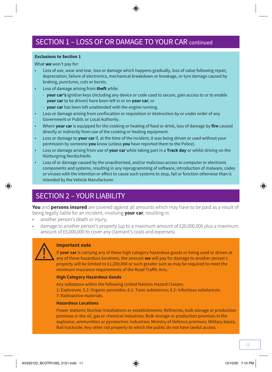#### **Exclusions to Section 1**

What **we** won't pay for:

- Loss of use, wear and tear, loss or damage which happens gradually, loss of value following repair, depreciation, failure of electronics, mechanical breakdown or breakage, or tyre damage caused by braking, punctures, cuts or bursts.
- Loss of damage arising from **theft** while:
	- **your car's** ignition keys (including any device or code used to secure, gain access to or to enable **your car** to be driven) have been left in or on **your car**; or
	- **your car** has been left unattended with the engine running.
- Loss or damage arising from confiscation or requisition or destruction by or under order of any Government or Public or Local Authority.
- Where **your car** is equipped for the cooking or heating of food or drink, loss of damage by **fire** caused directly or indirectly from use of the cooking or heating equipment.
- Loss or damage to **your car** if, at the time of the incident, it was being driven or used without your permission by someone **you** know (unless **you** have reported them to the Police).
- Loss or damage arising from use of **your car** while taking part in a **Track day** or whilst driving on the Nürburgring Nordschleife.
- Loss of or damage caused by the unauthorised, and/or malicious access to computer or electronic components and systems, resulting in any reprogramming of software, introduction of malware, codes or viruses with the intention or effect to cause such systems to stop, fail or function otherwise than is intended by the Vehicle Manufacturer.

### SECTION 2 – YOUR LIABILITY

**You** and **persons insured** are covered against all amounts which may have to be paid as a result of being legally liable for an incident, involving **your car**, resulting in:

- another person's death or injury;
- damage to another person's property (up to a maximum amount of £20,000,000 plus a maximum amount of £5,000,000 to cover any claimant's costs and expenses).



#### **Important note**

If **your car** is carrying any of these high category hazardous goods or being used or driven at any of these hazardous locations, the amount **we** will pay for damage to another person's property will be limited to £1,200,000 or such greater sum as may be required to meet the minimum insurance requirements of the Road Traffic Acts.

#### **High Category Hazardous Goods**

Any substance within the following United Nations Hazard Classes: 1: Explosives; 5.2: Organic peroxides; 6.1: Toxic substances; 6.2: Infectious substances; 7: Radioactive materials.

#### **Hazardous Locations**

Power stations; Nuclear installations or establishments; Refineries, bulk storage or production premises in the oil, gas or chemical industries; Bulk storage or production premises in the explosive, ammunition or pyrotechnic industries; Ministry of Defence premises; Military bases; Rail trackside; Any other rail property to which the public do not have lawful access.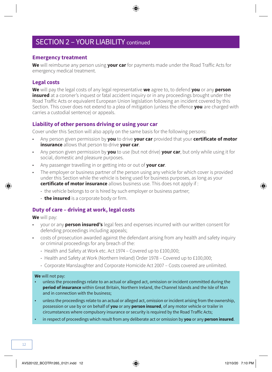### SECTION 2 - YOUR LIABILITY continued

#### **Emergency treatment**

**We** will reimburse any person using **your car** for payments made under the Road Traffic Acts for emergency medical treatment.

#### **Legal costs**

**We** will pay the legal costs of any legal representative **we** agree to, to defend **you** or any **person insured** at a coroner's inquest or fatal accident inquiry or in any proceedings brought under the Road Traffic Acts or equivalent European Union legislation following an incident covered by this Section. This cover does not extend to a plea of mitigation (unless the offence **you** are charged with carries a custodial sentence) or appeals.

#### **Liability of other persons driving or using your car**

Cover under this Section will also apply on the same basis for the following persons:

- Any person given permission by **you** to drive **your car** provided that your **certificate of motor insurance** allows that person to drive **your car**.
- Any person given permission by **you** to use (but not drive) **your car**, but only while using it for social, domestic and pleasure purposes.
- Any passenger travelling in or getting into or out of **your car**.
- The employer or business partner of the person using any vehicle for which cover is provided under this Section while the vehicle is being used for business purposes, as long as your **certificate of motor insurance** allows business use. This does not apply if :
	- the vehicle belongs to or is hired by such employer or business partner;
	- **the insured** is a corporate body or firm.

#### **Duty of care – driving at work, legal costs**

**We** will pay:

- your or any **person insured's** legal fees and expenses incurred with our written consent for defending proceedings including appeals;
- costs of prosecution awarded against the defendant arising from any health and safety inquiry or criminal proceedings for any breach of the:
	- Health and Safety at Work etc. Act 1974 Covered up to £100,000;
	- Health and Safety at Work (Northern Ireland) Order 1978 Covered up to £100,000;
	- Corporate Manslaughter and Corporate Homicide Act 2007 Costs covered are unlimited.

#### **We** will not pay:

- unless the proceedings relate to an actual or alleged act, omission or incident committed during the **period of insurance** within Great Britain, Northern Ireland, the Channel Islands and the Isle of Man and in connection with the business;
- unless the proceedings relate to an actual or alleged act, omission or incident arising from the ownership, possession or use by or on behalf of **you** or any **person insured**, of any motor vehicle or trailer in circumstances where compulsory insurance or security is required by the Road Traffic Acts;
- in respect of proceedings which result from any deliberate act or omission by **you** or any **person insured**.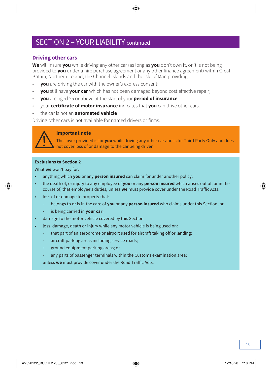### SECTION 2 – YOUR LIABILITY continued

#### **Driving other cars**

**We** will insure **you** while driving any other car (as long as **you** don't own it, or it is not being provided to **you** under a hire purchase agreement or any other finance agreement) within Great Britain, Northern Ireland, the Channel Islands and the Isle of Man providing:

- **you** are driving the car with the owner's express consent;
- **you** still have **your car** which has not been damaged beyond cost effective repair;
- **you** are aged 25 or above at the start of your **period of insurance**;
- your **certificate of motor insurance** indicates that **you** can drive other cars.
- the car is not an **automated vehicle**

Driving other cars is not available for named drivers or firms.



#### **Important note**

The cover provided is for **you** while driving any other car and is for Third Party Only and does not cover loss of or damage to the car being driven.

#### **Exclusions to Section 2**

What **we** won't pay for:

- anything which **you** or any **person insured** can claim for under another policy.
- the death of, or injury to any employee of **you** or any **person insured** which arises out of, or in the course of, that employee's duties, unless **we** must provide cover under the Road Traffic Acts.
- loss of or damage to property that:
	- belongs to or is in the care of **you** or any **person insured** who claims under this Section, or
	- is being carried in **your car**.
- damage to the motor vehicle covered by this Section.
- loss, damage, death or injury while any motor vehicle is being used on:
	- that part of an aerodrome or airport used for aircraft taking off or landing;
	- aircraft parking areas including service roads;
	- ground equipment parking areas; or
	- any parts of passenger terminals within the Customs examination area;

unless **we** must provide cover under the Road Traffic Acts.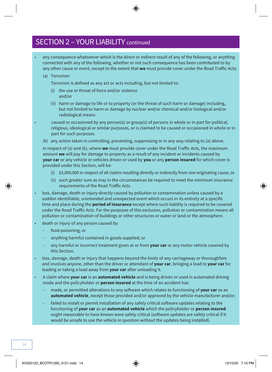### SECTION 2 – YOUR LIABILITY continued

- any consequence whatsoever which is the direct or indirect result of any of the following, or anything connected with any of the following, whether or not such consequence has been contributed to by any other cause or event, except to the extent that **we** must provide cover under the Road Traffic Acts:
	- (a) Terrorism

Terrorism is defined as any act or acts including, but not limited to:

- (i) the use or threat of force and/or violence and/or
- (ii) harm or damage to life or to property (or the threat of such harm or damage) including, but not limited to harm or damage by nuclear and/or chemical and/or biological and/or radiological means

• caused or occasioned by any person(s) or group(s) of persons in whole or in part for political, religious, ideological or similar purposes, or is claimed to be caused or occasioned in whole or in part for such purposes.

(b) any action taken in controlling, preventing, suppressing or in any way relating to (a) above.

In respect of (a) and (b), where **we** must provide cover under the Road Traffic Acts, the maximum amount **we** will pay for damage to property as a result of any incident or incidents caused by **your car** or any vehicle or vehicles driven or used by **you** or any **person insured** for which cover is provided under this Section, will be:

- (i) £5,000,000 in respect of all claims resulting directly or indirectly from one originating cause, or
- (ii) such greater sum as may in the circumstances be required to meet the minimum insurance requirements of the Road Traffic Acts.
- loss, damage, death or injury directly caused by pollution or contamination unless caused by a sudden identifiable, unintended and unexpected event which occurs in its entirety at a specific time and place during the **period of insurance** except where such liability is required to be covered under the Road Traffic Acts. For the purposes of this exclusion, pollution or contamination means all pollution or contamination of buildings or other structures or water or land or the atmosphere.
- death or injury of any person caused by:
	- food poisoning; or
	- anything harmful contained in goods supplied; or
	- any harmful or incorrect treatment given at or from **your car** or any motor vehicle covered by this Section.
- loss, damage, death or injury that happens beyond the limits of any carriageway or thoroughfare and involves anyone, other than the driver or attendant of **your car**, bringing a load to **your car** for loading or taking a load away from **your car** after unloading it.
- A claim where **your car** is an **automated vehicle** and is being driven or used in automated driving mode and the policyholder or **person insured** at the time of an accident has:
	- made, or permitted alterations to any software which relates to functioning of **your car** as an **automated vehicle**, except those provided and/or approved by the vehicle manufacturer and/or;
	- failed to install or permit installation of any safety critical software updates relating to the functioning of **your car** as an **automated vehicle** which the policyholder or **person insured** ought reasonable to have known were safety critical (software updates are safety critical if it would be unsafe to use the vehicle in question without the updates being installed).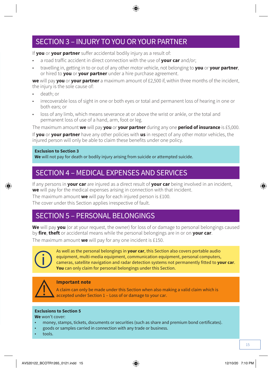### SECTION 3 – INJURY TO YOU OR YOUR PARTNER

If **you** or **your partner** suffer accidental bodily injury as a result of:

- a road traffic accident in direct connection with the use of **your car** and/or;
- travelling in, getting in to or out of any other motor vehicle, not belonging to **you** or **your partner**, or hired to **you** or **your partner** under a hire purchase agreement.

**we** will pay **you** or **your partner** a maximum amount of £2,500 if, within three months of the incident the injury is the sole cause of:

- death; or
- irrecoverable loss of sight in one or both eyes or total and permanent loss of hearing in one or both ears; or
- loss of any limb, which means severance at or above the wrist or ankle, or the total and permanent loss of use of a hand, arm, foot or leg.

The maximum amount **we** will pay **you** or **your partner** during any one **period of insurance** is £5,000.

If **you** or **your partner** have any other policies with **us** in respect of any other motor vehicles, the injured person will only be able to claim these benefits under one policy.

#### **Exclusion to Section 3**

**We** will not pay for death or bodily injury arising from suicide or attempted suicide.

### SECTION 4 – MEDICAL EXPENSES AND SERVICES

If any persons in **your car** are injured as a direct result of **your car** being involved in an incident, **we** will pay for the medical expenses arising in connection with that incident.

The maximum amount **we** will pay for each injured person is £100.

The cover under this Section applies irrespective of fault.

### SECTION 5 – PERSONAL BELONGINGS

**We** will pay **you** (or at your request, the owner) for loss of or damage to personal belongings caused by **fire**, **theft** or accidental means while the personal belongings are in or on **your car**.

The maximum amount **we** will pay for any one incident is £150.



As well as the personal belongings in **your car**, this Section also covers portable audio equipment, multi-media equipment, communication equipment, personal computers, cameras, satellite navigation and radar detection systems not permanently fitted to **your car**. **You** can only claim for personal belongings under this Section.



#### **Important note**

A claim can only be made under this Section when also making a valid claim which is accepted under Section 1 – Loss of or damage to your car.

#### **Exclusions to Section 5**

**We** won't cover:

- money, stamps, tickets, documents or securities (such as share and premium bond certificates).
- goods or samples carried in connection with any trade or business.
- tools.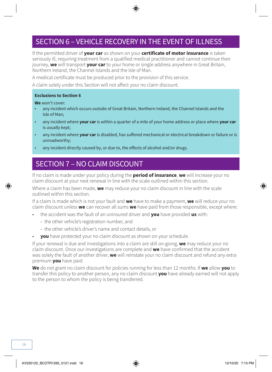### SECTION 6 – VEHICLE RECOVERY IN THE EVENT OF ILLNESS

If the permitted driver of **your car** as shown on your **certificate of motor insurance** is taken seriously ill, requiring treatment from a qualified medical practitioner and cannot continue their journey, **we** will transport **your car** to your home or single address anywhere in Great Britain, Northern Ireland, the Channel Islands and the Isle of Man.

A medical certificate must be produced prior to the provision of this service.

A claim solely under this Section will not affect your no claim discount.

#### **Exclusions to Section 6**

**We** won't cover:

- any incident which occurs outside of Great Britain, Northern Ireland, the Channel Islands and the Isle of Man;
- any incident where **your car** is within a quarter of a mile of your home address or place where **your car** is usually kept;
- any incident where **your car** is disabled, has suffered mechanical or electrical breakdown or failure or is unroadworthy;
- any incident directly caused by, or due to, the effects of alcohol and/or drugs.

### SECTION 7 – NO CLAIM DISCOUNT

If no claim is made under your policy during the **period of insurance**, **we** will increase your no claim discount at your next renewal in line with the scale outlined within this section.

Where a claim has been made, **we** may reduce your no claim discount in line with the scale outlined within this section.

If a claim is made which is not your fault and **we** have to make a payment, **we** will reduce your no claim discount unless **we** can recover all sums **we** have paid from those responsible, except where:

- the accident was the fault of an uninsured driver and **you** have provided **us** with:
	- the other vehicle's registration number, and
	- the other vehicle's driver's name and contact details, or
- **you** have protected your no claim discount as shown on your schedule.

If your renewal is due and investigations into a claim are still on-going, **we** may reduce your no claim discount. Once our investigations are complete and **we** have confirmed that the accident was solely the fault of another driver, **we** will reinstate your no claim discount and refund any extra premium **you** have paid.

**We** do not grant no claim discount for policies running for less than 12 months. If **we** allow **you** to transfer this policy to another person, any no claim discount **you** have already earned will not apply to the person to whom the policy is being transferred.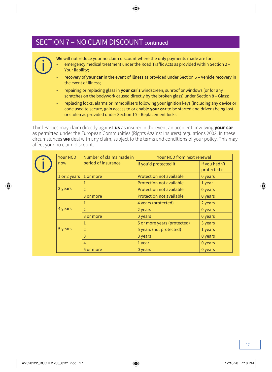### SECTION 7 – NO CLAIM DISCOUNT continued

**We** will not reduce your no claim discount where the only payments made are for: • emergency medical treatment under the Road Traffic Acts as provided within Section 2 – Your liability;

- recovery of **your car** in the event of illness as provided under Section 6 Vehicle recovery in the event of illness;
- repairing or replacing glass in **your car's** windscreen, sunroof or windows (or for any scratches on the bodywork caused directly by the broken glass) under Section 8 – Glass;
- replacing locks, alarms or immobilisers following your ignition keys (including any device or code used to secure, gain access to or enable **your car** to be started and driven) being lost or stolen as provided under Section 10 – Replacement locks.

Third Parties may claim directly against **us** as insurer in the event an accident, involving **your car** as permitted under the European Communities (Rights Against Insurers) regulations 2002. In these circumstances **we** deal with any claim, subject to the terms and conditions of your policy. This may affect your no claim discount.

|         | Number of claims made in<br>Your NCD |                       | Your NCD from next renewal    |         |
|---------|--------------------------------------|-----------------------|-------------------------------|---------|
|         | period of insurance<br>now           | If you'd protected it | If you hadn't<br>protected it |         |
|         | 1 or 2 years $ $                     | 1 or more             | Protection not available      | 0 years |
|         |                                      |                       | Protection not available      | 1 year  |
|         | 3 years                              | $\overline{2}$        | Protection not available      | 0 years |
|         |                                      | 3 or more             | Protection not available      | 0 years |
|         |                                      | 1                     | 4 years (protected)           | 2 years |
| 4 years | $\overline{2}$                       | 2 years               | 0 years                       |         |
|         |                                      | 3 or more             | 0 years                       | 0 years |
|         |                                      | 1                     | 5 or more years (protected)   | 3 years |
|         | 5 years                              | $\overline{2}$        | 5 years (not protected)       | 1 years |
|         | 3                                    | 3 years               | 0 years                       |         |
|         |                                      | $\overline{4}$        | 1 year                        | 0 years |
|         |                                      | 5 or more             | 0 years                       | 0 years |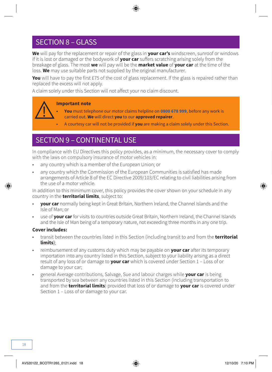### SECTION 8 – GLASS

**We** will pay for the replacement or repair of the glass in **your car's** windscreen, sunroof or windows if it is lost or damaged or the bodywork of **your car** suffers scratching arising solely from the breakage of glass. The most **we** will pay will be the **market value** of **your car** at the time of the loss. **We** may use suitable parts not supplied by the original manufacturer.

**You** will have to pay the first £75 of the cost of glass replacement. If the glass is repaired rather than replaced the excess will not apply.

A claim solely under this Section will not affect your no claim discount.

#### **Important note**

- **• You** must telephone our motor claims helpline on **0800 678 999**, before any work is carried out. **We** will direct **you** to our **approved repairer**.
- A courtesy car will not be provided if **you** are making a claim solely under this Section.

### SECTION 9 – CONTINENTAL USE

In compliance with EU Directives this policy provides, as a minimum, the necessary cover to comply with the laws on compulsory insurance of motor vehicles in:

- any country which is a member of the European Union; or
- any country which the Commission of the European Communities is satisfied has made arrangements of Article 8 of the EC Directive 2009/103/EC relating to civil liabilities arising from the use of a motor vehicle.

In addition to this minimum cover, this policy provides the cover shown on your schedule in any country in the **territorial limits**, subject to:

- **your car** normally being kept in Great Britain, Northern Ireland, the Channel Islands and the Isle of Man; or
- use of **your car** for visits to countries outside Great Britain, Northern Ireland, the Channel Islands and the Isle of Man being of a temporary nature, not exceeding three months in any one trip.

#### **Cover includes:**

- transit between the countries listed in this Section (including transit to and from the **territorial limits**);
- reimbursement of any customs duty which may be payable on **your car** after its temporary importation into any country listed in this Section, subject to your liability arising as a direct result of any loss of or damage to **your car** which is covered under Section 1 – Loss of or damage to your car;
- general Average contributions, Salvage, Sue and labour charges while **your car** is being transported by sea between any countries listed in this Section (including transportation to and from the **territorial limits**) provided that loss of or damage to **your car** is covered under Section 1 – Loss of or damage to your car.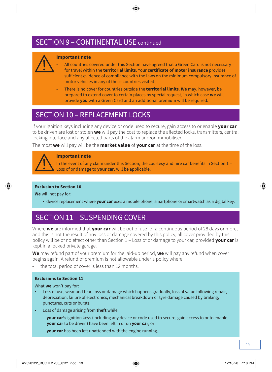### SECTION 9 – CONTINENTAL USE continued



#### **Important note**

- All countries covered under this Section have agreed that a Green Card is not necessary for travel within the **territorial limits**. Your **certificate of motor insurance** provides sufficient evidence of compliance with the laws on the minimum compulsory insurance of motor vehicles in any of these countries visited.
- There is no cover for countries outside the **territorial limits**. **We** may, however, be prepared to extend cover to certain places by special request, in which case **we** will provide **you** with a Green Card and an additional premium will be required.

### SECTION 10 – REPLACEMENT LOCKS

If your ignition keys including any device or code used to secure, gain access to or enable **your car** to be driven are lost or stolen **we** will pay the cost to replace the affected locks, transmitters, central locking interface and any affected parts of the alarm and/or immobiliser.

The most **we** will pay will be the **market value** of **your car** at the time of the loss.



#### **Important note**

In the event of any claim under this Section, the courtesy and hire car benefits in Section 1 – Loss of or damage to **your car**, will be applicable.

#### **Exclusion to Section 10**

**We** will not pay for:

● device replacement where **your car** uses a mobile phone, smartphone or smartwatch as a digital key.

### SECTION 11 – SUSPENDING COVER

Where **we** are informed that **your car** will be out of use for a continuous period of 28 days or more, and this is not the result of any loss or damage covered by this policy, all cover provided by this policy will be of no effect other than Section 1 – Loss of or damage to your car, provided **your car** is kept in a locked private garage.

**We** may refund part of your premium for the laid-up period, **we** will pay any refund when cover begins again. A refund of premium is not allowable under a policy where:

the total period of cover is less than 12 months.

#### **Exclusions to Section 11**

What **we** won't pay for:

- Loss of use, wear and tear, loss or damage which happens gradually, loss of value following repair, depreciation, failure of electronics, mechanical breakdown or tyre damage caused by braking, punctures, cuts or bursts.
- Loss of damage arising from **theft** while:
	- **your car's** ignition keys (including any device or code used to secure, gain access to or to enable **your car** to be driven) have been left in or on **your car**; or
	- **your car** has been left unattended with the engine running.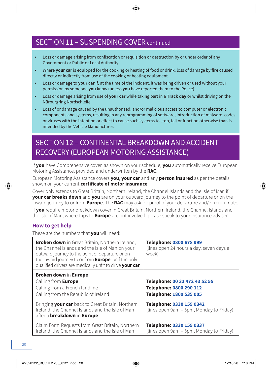### SECTION 11 – SUSPENDING COVER continued

- Loss or damage arising from confiscation or requisition or destruction by or under order of any Government or Public or Local Authority.
- Where **your car** is equipped for the cooking or heating of food or drink, loss of damage by **fire** caused directly or indirectly from use of the cooking or heating equipment.
- Loss or damage to **your car** if, at the time of the incident, it was being driven or used without your permission by someone **you** know (unless **you** have reported them to the Police).
- Loss or damage arising from use of **your car** while taking part in a **Track day** or whilst driving on the Nürburgring Nordschleife.
- Loss of or damage caused by the unauthorised, and/or malicious access to computer or electronic components and systems, resulting in any reprogramming of software, introduction of malware, codes or viruses with the intention or effect to cause such systems to stop, fail or function otherwise than is intended by the Vehicle Manufacturer.

### SECTION 12 – CONTINENTAL BREAKDOWN AND ACCIDENT RECOVERY (EUROPEAN MOTORING ASSISTANCE)

If **you** have Comprehensive cover, as shown on your schedule, **you** automatically receive European Motoring Assistance, provided and underwritten by the **RAC**.

European Motoring Assistance covers **you**, **your car** and any **person insured** as per the details shown on your current **certificate of motor insurance**.

Cover only extends to Great Britain, Northern Ireland, the Channel Islands and the Isle of Man if **your car breaks down** and **you** are on your outward journey to the point of departure or on the inward journey to or from **Europe**. The **RAC** may ask for proof of your departure and/or return date.

If **you** require motor breakdown cover in Great Britain, Northern Ireland, the Channel Islands and the Isle of Man, where trips to **Europe** are not involved, please speak to your insurance adviser.

#### **How to get help**

These are the numbers that **you** will need:

| <b>Broken down</b> in Great Britain, Northern Ireland,<br>the Channel Islands and the Isle of Man on your<br>outward journey to the point of departure or on<br>the inward journey to or from <b>Europe</b> , or if the only<br>qualified drivers are medically unfit to drive your car | Telephone: 0800 678 999<br>(lines open 24 hours a day, seven days a<br>week)        |
|-----------------------------------------------------------------------------------------------------------------------------------------------------------------------------------------------------------------------------------------------------------------------------------------|-------------------------------------------------------------------------------------|
| Broken down in Europe<br>Calling from Europe<br>Calling from a French landline<br>Calling from the Republic of Ireland                                                                                                                                                                  | Telephone: 00 33 472 43 52 55<br>Telephone: 0800 290 112<br>Telephone: 1800 535 005 |
| Bringing your car back to Great Britain, Northern<br>Ireland, the Channel Islands and the Isle of Man<br>after a <b>breakdown</b> in <b>Europe</b>                                                                                                                                      | Telephone: 0330 159 0342<br>(lines open 9am - 5pm, Monday to Friday)                |
| Claim Form Requests from Great Britain, Northern<br>Ireland, the Channel Islands and the Isle of Man                                                                                                                                                                                    | Telephone: 0330 159 0337<br>(lines open 9am - 5pm, Monday to Friday)                |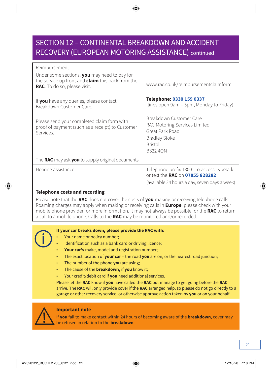### SECTION 12 – CONTINENTAL BREAKDOWN AND ACCIDENT RECOVERY (EUROPEAN MOTORING ASSISTANCE) continued

| Reimbursement<br>Under some sections, you may need to pay for<br>the service up front and <b>claim</b> this back from the<br>RAC. To do so, please visit. | www.rac.co.uk/reimbursementclaimform                                                                                                     |
|-----------------------------------------------------------------------------------------------------------------------------------------------------------|------------------------------------------------------------------------------------------------------------------------------------------|
| If you have any queries, please contact<br>Breakdown Customer Care.                                                                                       | Telephone: 0330 159 0337<br>(lines open 9am – 5pm, Monday to Friday)                                                                     |
| Please send your completed claim form with<br>proof of payment (such as a receipt) to Customer<br>Services.                                               | Breakdown Customer Care<br>RAC Motoring Services Limited<br>Great Park Road<br><b>Bradley Stoke</b><br><b>Bristol</b><br><b>BS32 40N</b> |
| The RAC may ask you to supply original documents.                                                                                                         |                                                                                                                                          |
| Hearing assistance                                                                                                                                        | Telephone prefix 18001 to access Typetalk<br>or text the RAC on 07855 828282<br>(available 24 hours a day, seven days a week)            |

#### **Telephone costs and recording**

Please note that the **RAC** does not cover the costs of **you** making or receiving telephone calls. Roaming charges may apply when making or receiving calls in **Europe**, please check with your mobile phone provider for more information. It may not always be possible for the **RAC** to return a call to a mobile phone. Calls to the **RAC** may be monitored and/or recorded.

#### **If your car breaks down, please provide the RAC with:**

- Your name or policy number;
- Identification such as a bank card or driving licence;
- Your car's make, model and registration number;
- The exact location of **your car**  the road **you** are on, or the nearest road junction;
- The number of the phone **you** are using;
- The cause of the **breakdown,** if **you** know it;
- Your credit/debit card if **you** need additional services.

Please let the **RAC** know if **you** have called the **RAC** but manage to get going before the **RAC** arrive. The **RAC** will only provide cover if the **RAC** arranged help, so please do not go directly to a garage or other recovery service, or otherwise approve action taken by **you** or on your behalf.



#### **Important note**

If **you** fail to make contact within 24 hours of becoming aware of the **breakdown**, cover may be refused in relation to the **breakdown**.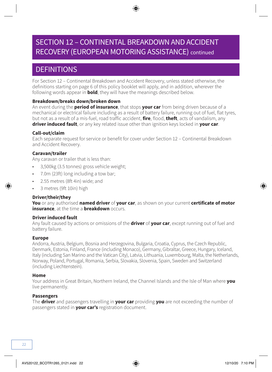### SECTION 12 – CONTINENTAL BREAKDOWN AND ACCIDENT RECOVERY (EUROPEAN MOTORING ASSISTANCE) continued

### **DEFINITIONS**

For Section 12 – Continental Breakdown and Accident Recovery, unless stated otherwise, the definitions starting on page 6 of this policy booklet will apply, and in addition, wherever the following words appear in **bold**, they will have the meanings described below.

#### **Breakdown/breaks down/broken down**

An event during the **period of insurance**, that stops **your car** from being driven because of a mechanical or electrical failure including as a result of battery failure, running out of fuel, flat tyres, but not as a result of a mis-fuel, road traffic accident, **fire**, flood, **theft**, acts of vandalism, any **driver induced fault**, or any key related issue other than ignition keys locked in **your car**.

#### **Call-out/claim**

Each separate request for service or benefit for cover under Section 12 – Continental Breakdown and Accident Recovery.

#### **Caravan/trailer**

Any caravan or trailer that is less than:

- 3,500kg (3.5 tonnes) gross vehicle weight;
- 7.0m (23ft) long including a tow bar;
- 2.55 metres (8ft 4in) wide; and
- 3 metres (9ft 10in) high

#### **Driver/their/they**

**You** or any authorised **named driver** of **your car**, as shown on your current **certificate of motor insurance**, at the time a **breakdown** occurs.

#### **Driver induced fault**

Any fault caused by actions or omissions of the **driver** of **your car**, except running out of fuel and battery failure.

#### **Europe**

Andorra, Austria, Belgium, Bosnia and Herzegovina, Bulgaria, Croatia, Cyprus, the Czech Republic, Denmark, Estonia, Finland, France (including Monaco), Germany, Gibraltar, Greece, Hungary, Iceland, Italy (including San Marino and the Vatican City), Latvia, Lithuania, Luxembourg, Malta, the Netherlands, Norway, Poland, Portugal, Romania, Serbia, Slovakia, Slovenia, Spain, Sweden and Switzerland (including Liechtenstein).

#### **Home**

Your address in Great Britain, Northern Ireland, the Channel Islands and the Isle of Man where **you**  live permanently.

#### **Passengers**

The **driver** and passengers travelling in **your car** providing **you** are not exceeding the number of passengers stated in **your car's** registration document.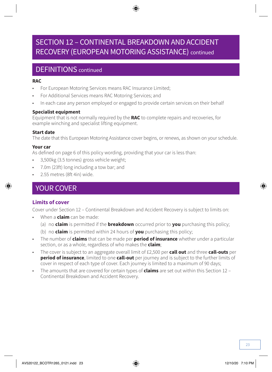### SECTION 12 – CONTINENTAL BREAKDOWN AND ACCIDENT RECOVERY (EUROPEAN MOTORING ASSISTANCE) continued

### DEFINITIONS continued

#### **RAC**

- For European Motoring Services means RAC Insurance Limited;
- For Additional Services means RAC Motoring Services; and
- In each case any person employed or engaged to provide certain services on their behalf

#### **Specialist equipment**

Equipment that is not normally required by the **RAC** to complete repairs and recoveries, for example winching and specialist lifting equipment.

#### **Start date**

The date that this European Motoring Assistance cover begins, or renews, as shown on your schedule.

#### **Your car**

As defined on page 6 of this policy wording, providing that your car is less than:

- 3,500kg (3.5 tonnes) gross vehicle weight;
- 7.0m (23ft) long including a tow bar; and
- 2.55 metres (8ft 4in) wide.

### YOUR COVER

#### **Limits of cover**

Cover under Section 12 – Continental Breakdown and Accident Recovery is subject to limits on:

- When a **claim** can be made:
	- (a) no **claim** is permitted if the **breakdown** occurred prior to **you** purchasing this policy;
	- (b) no **claim** is permitted within 24 hours of **you** purchasing this policy;
- The number of **claims** that can be made per **period of insurance** whether under a particular section, or as a whole, regardless of who makes the **claim**;
- The cover is subject to an aggregate overall limit of £2,500 per **call out** and three **call-outs** per **period of insurance**, limited to one **call-out** per journey and is subject to the further limits of cover in respect of each type of cover. Each journey is limited to a maximum of 90 days;
- The amounts that are covered for certain types of **claims** are set out within this Section 12 Continental Breakdown and Accident Recovery.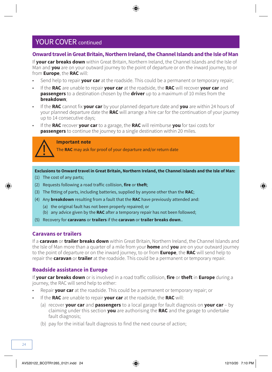#### **Onward travel in Great Britain, Northern Ireland, the Channel Islands and the Isle of Man**

If **your car breaks down** within Great Britain, Northern Ireland, the Channel Islands and the Isle of Man and **you** are on your outward journey to the point of departure or on the inward journey, to or from **Europe**, the **RAC** will:

- Send help to repair **your car** at the roadside. This could be a permanent or temporary repair;
- If the **RAC** are unable to repair **your car** at the roadside, the **RAC** will recover **your car** and **passengers** to a destination chosen by the **driver** up to a maximum of 10 miles from the **breakdown**;
- If the **RAC** cannot fix **your car** by your planned departure date and **you** are within 24 hours of your planned departure date the **RAC** will arrange a hire car for the continuation of your journey up to 14 consecutive days;
- If the **RAC** recover **your car** to a garage, the **RAC** will reimburse **you** for taxi costs for **passengers** to continue the journey to a single destination within 20 miles.

#### **Important note**

The **RAC** may ask for proof of your departure and/or return date

**Exclusions to Onward travel in Great Britain, Northern Ireland, the Channel Islands and the Isle of Man:**

- (1) The cost of any parts;
- (2) Requests following a road traffic collision, **fire** or **theft**;
- (3) The fitting of parts, including batteries, supplied by anyone other than the **RAC**;
- (4) Any **breakdown** resulting from a fault that the **RAC** have previously attended and:
	- (a) the original fault has not been properly repaired; or
	- (b) any advice given by the **RAC** after a temporary repair has not been followed;
- (5) Recovery for **caravans** or **trailers** if the **caravan** or **trailer breaks down**..

#### **Caravans or trailers**

If a **caravan** or **trailer breaks down** within Great Britain, Northern Ireland, the Channel Islands and the Isle of Man more than a quarter of a mile from your **home** and **you** are on your outward journey to the point of departure or on the inward journey, to or from **Europe**, the **RAC** will send help to repair the **caravan** or **trailer** at the roadside. This could be a permanent or temporary repair.

#### **Roadside assistance in Europe**

If **your car breaks down** or is involved in a road traffic collision, **fire** or **theft** in **Europe** during a journey, the RAC will send help to either:

- Repair **your car** at the roadside. This could be a permanent or temporary repair; or
- If the **RAC** are unable to repair **your car** at the roadside, the **RAC** will:
	- (a) recover **your car** and **passengers** to a local garage for fault diagnosis on **your car** by claiming under this section **you** are authorising the **RAC** and the garage to undertake fault diagnosis;
	- (b) pay for the initial fault diagnosis to find the next course of action;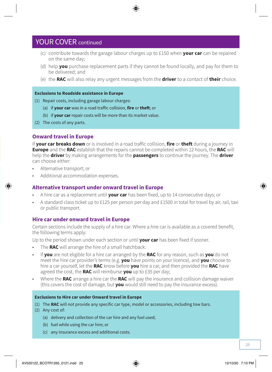- (c) contribute towards the garage labour charges up to £150 when **your car** can be repaired on the same day;
- (d) help **you** purchase replacement parts if they cannot be found locally, and pay for them to be delivered; and
- (e) the **RAC** will also relay any urgent messages from the **driver** to a contact of **their** choice.

#### **Exclusions to Roadside assistance in Europe**

- (1) Repair costs, including garage labour charges:
	- (a) if **your car** was in a road traffic collision, **fire** or **theft**; or
	- (b) if **your car** repair costs will be more than its market value.
- (2) The costs of any parts.

#### **Onward travel in Europe**

If **your car breaks down** or is involved in a road traffic collision, **fire** or **theft** during a journey in **Europe** and the **RAC** establish that the repairs cannot be completed within 12 hours, the **RAC** will help the **driver** by making arrangements for the **passengers** to continue the journey. The **driver**  can choose either:

- Alternative transport; or
- Additional accommodation expenses.

#### **Alternative transport under onward travel in Europe**

- A hire car as a replacement until **your car** has been fixed, up to 14 consecutive days; or
- A standard class ticket up to £125 per person per day and £1500 in total for travel by air, rail, taxi or public transport.

#### **Hire car under onward travel in Europe**

Certain sections include the supply of a hire car. Where a hire car is available as a covered benefit, the following terms apply:

Up to the period shown under each section or until **your car** has been fixed if sooner.

- The **RAC** will arrange the hire of a small hatchback:
- If **you** are not eligible for a hire car arranged by the **RAC** for any reason, such as **you** do not meet the hire car provider's terms (e.g. **you** have points on your licence), and **you** choose to hire a car yourself, let the **RAC** know before **you** hire a car, and then provided the **RAC** have agreed the cost, the **RAC** will reimburse **you** up to £35 per day;
- Where the **RAC** arrange a hire car the **RAC** will pay the insurance and collision damage waiver (this covers the cost of damage, but **you** would still need to pay the insurance excess).

#### **Exclusions to Hire car under Onward travel in Europe**

- (1) The **RAC** will not provide any specific car type, model or accessories, including tow bars.
- (2) Any cost of:
	- (a) delivery and collection of the car hire and any fuel used;
	- (b) fuel while using the car hire; or
	- (c) any insurance excess and additional costs.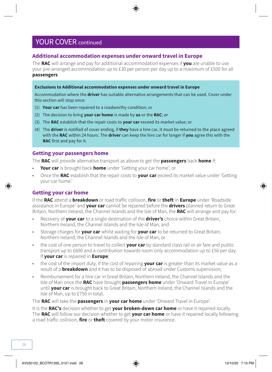#### **Additional accommodation expenses under onward travel in Europe**

The **RAC** will arrange and pay for additional accommodation expenses if **you** are unable to use your pre-arranged accommodation up to £30 per person per day up to a maximum of £500 for all **passengers**.

#### **Exclusions to Additional accommodation expenses under onward travel in Europe**

Accommodation where the **driver** has suitable alternative arrangements that can be used. Cover under this section will stop once:

- (1) **Your car** has been repaired to a roadworthy condition; or
- (2) The decision to bring **your car home** is made by **us** or the **RAC**; or
- (3) The **RAC** establish that the repair costs to **your car** exceed its market value; or
- (4) The **driver** is notified of cover ending, if **they** have a hire car, it must be returned to the place agreed with the **RAC** within 24 hours. The **driver** can keep the hire car for longer if **you** agree this with the **RAC** first and pay for it.

#### **Getting your passengers home**

The **RAC** will provide alternative transport as above to get the **passengers** back **home** if:

- **Your car** is brought back **home** under 'Getting your car home'; or
- Once the **RAC** establish that the repair costs to **your car** exceed its market value under 'Getting your car home.'

#### **Getting your car home**

If the **RAC** attend a **breakdown** or road traffic collision, **fire** or **theft** in **Europe** under 'Roadside assistance in Europe' and **your car** cannot be repaired before the **drivers** planned return to Great Britain, Northern Ireland, the Channel Islands and the Isle of Man, the **RAC** will arrange and pay for:

- Recovery of **your car** to a single destination of the **driver's** choice within Great Britain, Northern Ireland, the Channel Islands and the Isle of Man; and
- Storage charges for **your car** whilst waiting for **your car** to be returned to Great Britain, Northern Ireland, the Channel Islands and the Isle of Man; or
- the cost of one person to travel to collect **your car** by standard class rail or air fare and public transport up to £600 and a contribution towards room only accommodation up to £50 per day. If **your car** is repaired in **Europe**;
- the cost of the import duty, If the cost of repairing **your car** is greater than its market value as a result of a **breakdown** and it has to be disposed of abroad under Customs supervision;
- Reimbursement for a hire car in Great Britain, Northern Ireland, the Channel Islands and the Isle of Man once the **RAC** have brought **passengers home** under 'Onward Travel in Europe' until **your car** is brought back to Great Britain, Northern Ireland, the Channel Islands and the Isle of Man, up to £750 in total;

The **RAC** will take the **passengers** in **your car home** under 'Onward Travel in Europe'.

It is the **RAC's** decision whether to get **your broken-down car home** or have it repaired locally. The **RAC** will follow our decision whether to get **your car home** or have it repaired locally following a road traffic collision, **fire** or **theft** covered by your motor insurance.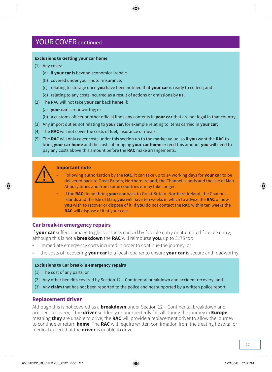#### **Exclusions to Getting your car home**

- (1) Any costs:
	- (a) if **your car** is beyond economical repair;
	- (b) covered under your motor insurance;
	- (c) relating to storage once **you** have been notified that **your car** is ready to collect; and
	- (d) relating to any costs incurred as a result of actions or omissions by **us**;
- (2) The RAC will not take **your car** back **home** if:
	- (a) **your car** is roadworthy; or
	- (b) a customs officer or other official finds any contents in **your car** that are not legal in that country;
- (3) Any import duties not relating to **your car**, for example relating to items carried in **your car**;
- (4) The **RAC** will not cover the costs of fuel, insurance or meals;
- (5) The **RAC** will only cover costs under this section up to the market value, so if **you** want the **RAC** to bring **your car home** and the costs of bringing **your car home** exceed this amount **you** will need to pay any costs above this amount before the **RAC** make arrangements.



#### **Important note**

- Following authorisation by the **RAC**, it can take up to 14 working days for **your car** to be delivered back to Great Britain, Northern Ireland, the Channel Islands and the Isle of Man. At busy times and from some countries it may take longer.
- If the **RAC** do not bring **your car** back to Great Britain, Northern Ireland, the Channel Islands and the Isle of Man, **you** will have ten weeks in which to advise the **RAC** of how **you** wish to recover or dispose of it. If **you** do not contact the **RAC** within ten weeks the **RAC** will dispose of it at your cost.

#### **Car break-in emergency repairs**

If **your car** suffers damage to glass or locks caused by forcible entry or attempted forcible entry, although this is not a **breakdown** the **RAC** will reimburse **you**, up to £175 for:

- immediate emergency costs incurred in order to continue the journey: or
- the costs of recovering **your car** to a local repairer to ensure **your car** is secure and roadworthy.

#### **Exclusions to Car break-in emergency repairs**

- (1) The cost of any parts; or
- (2) Any other benefits covered by Section 12 Continental breakdown and accident recovery; and
- (3) Any **claim** that has not been reported to the police and not supported by a written police report.

#### **Replacement driver**

Although this is not covered as a **breakdown** under Section 12 – Continental breakdown and accident recovery, if the **driver** suddenly or unexpectedly falls ill during the journey in **Europe**, meaning **they** are unable to drive, the **RAC** will provide a replacement driver to allow the journey to continue or return **home**. The **RAC** will require written confirmation from the treating hospital or medical expert that the **driver** is unable to drive.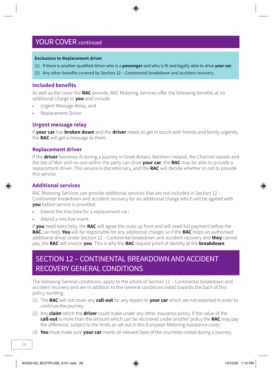#### **Exclusions to Replacement driver**

- (1) If there is another qualified driver who is a **passenger** and who is fit and legally able to drive **your car**.
- (2) Any other benefits covered by Section 12 Continental breakdown and accident recovery.

#### **Included benefits**

As well as the cover the **RAC** provide, RAC Motoring Services offer the following benefits at no additional charge to **you** and include:

- Urgent Message Relay; and
- Replacement Driver.

#### **Urgent message relay**

If **your car** has **broken down** and the **driver** needs to get in touch with friends and family urgently, the **RAC** will get a message to them.

#### **Replacement driver**

If the **driver** becomes ill during a journey in Great Britain, Northern Ireland, the Channel Islands and the Isle of Man and no one within the party can drive **your car**, the **RAC** may be able to provide a replacement driver. This service is discretionary, and the **RAC** will decide whether or not to provide this service.

#### **Additional services**

RAC Motoring Services can provide additional services that are not included in Section 12 – Continental breakdown and accident recovery for an additional charge which will be agreed with **you** before service is provided:

- Extend the hire time for a replacement car;
- Attend a mis-fuel event.

If **you** need extra help, the **RAC** will agree the costs up front and will need full payment before the **RAC** can help. **You** will be responsible for any additional charges so if the **RAC** helps an authorised additional driver under Section 12 – Continental breakdown and accident recovery and **they** cannot pay, the **RAC** will invoice **you**. This is why the **RAC** request proof of identity at the **breakdown**.

### SECTION 12 – CONTINENTAL BREAKDOWN AND ACCIDENT RECOVERY GENERAL CONDITIONS

The following General conditions, apply to the whole of Section 12 – Continental breakdown and accident recovery and are in addition to the General conditions listed towards the back of this policy wording:

- (1) The **RAC** will not cover any **call-out** for any repairs to **your car** which are not essential in order to continue the journey;
- (2) Any **claim** which the **driver** could make under any other insurance policy. If the value of the **call-out** is more than the amount which can be recovered under another policy the **RAC** may pay the difference, subject to the limits as set out in this European Motoring Assistance cover;
- (3) **You** must make sure **your car** meets all relevant laws of the countries visited during a journey;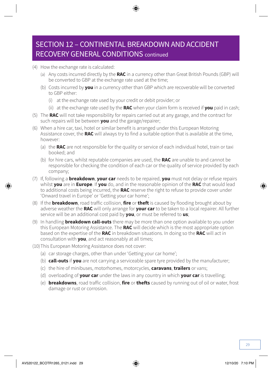### SECTION 12 – CONTINENTAL BREAKDOWN AND ACCIDENT RECOVERY GENERAL CONDITIONS continued

- (4) How the exchange rate is calculated:
	- (a) Any costs incurred directly by the **RAC** in a currency other than Great British Pounds (GBP) will be converted to GBP at the exchange rate used at the time;
	- (b) Costs incurred by **you** in a currency other than GBP which are recoverable will be converted to GBP either:
		- (i) at the exchange rate used by your credit or debit provider; or
		- (ii) at the exchange rate used by the **RAC** when your claim form is received if **you** paid in cash;
- (5) The **RAC** will not take responsibility for repairs carried out at any garage, and the contract for such repairs will be between **you** and the garage/repairer;
- (6) When a hire car, taxi, hotel or similar benefit is arranged under this European Motoring Assistance cover, the **RAC** will always try to find a suitable option that is available at the time, however:
	- (a) the **RAC** are not responsible for the quality or service of each individual hotel, train or taxi booked; and
	- (b) for hire cars, whilst reputable companies are used, the **RAC** are unable to and cannot be responsible for checking the condition of each car or the quality of service provided by each company;
- (7) If, following a **breakdown**, **your car** needs to be repaired, **you** must not delay or refuse repairs whilst **you** are in **Europe**. If **you** do, and in the reasonable opinion of the **RAC** that would lead to additional costs being incurred, the **RAC** reserve the right to refuse to provide cover under 'Onward travel in Europe' or 'Getting your car home';
- (8) If the **breakdown**, road traffic collision, **fire** or **theft** is caused by flooding brought about by adverse weather the **RAC** will only arrange for **your car** to be taken to a local repairer. All further service will be an additional cost paid by **you**, or must be referred to **us**;
- (9) In handling **breakdown call-outs** there may be more than one option available to you under this European Motoring Assistance. The **RAC** will decide which is the most appropriate option based on the expertise of the **RAC** in breakdown situations. In doing so the **RAC** will act in consultation with **you**, and act reasonably at all times;
- (10)This European Motoring Assistance does not cover:
	- (a) car storage charges, other than under 'Getting your car home';
	- (b) **call-outs** if **you** are not carrying a serviceable spare tyre provided by the manufacturer;
	- (c) the hire of minibuses, motorhomes, motorcycles, **caravans**, **trailers** or vans;
	- (d) overloading of **your car** under the laws in any country in which **your car** is travelling;
	- (e) **breakdowns**, road traffic collision, **fire** or **thefts** caused by running out of oil or water, frost damage or rust or corrosion.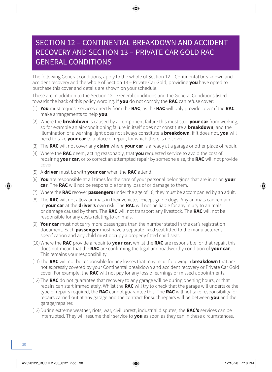### SECTION 12 – CONTINENTAL BREAKDOWN AND ACCIDENT RECOVERY AND SECTION 13 – PRIVATE CAR GOLD RAC GENERAL CONDITIONS

The following General conditions, apply to the whole of Section 12 – Continental breakdown and accident recovery and the whole of Section 13 – Private Car Gold, providing **you** have opted to purchase this cover and details are shown on your schedule.

These are in addition to the Section 12 – General conditions and the General Conditions listed towards the back of this policy wording. If **you** do not comply the **RAC** can refuse cover:

- (1) **You** must request services directly from the **RAC**, as the **RAC** will only provide cover if the **RAC** make arrangements to help **you**.
- (2) Where the **breakdown** is caused by a component failure this must stop **your car** from working, so for example an air-conditioning failure in itself does not constitute a **breakdown**, and the illumination of a warning light does not always constitute a **breakdown**. If it does not, **you** will need to take **your car** to a place of repair, for which there is no cover.
- (3) The **RAC** will not cover any **claim** where **your car** is already at a garage or other place of repair.
- (4) Where the **RAC** deem, acting reasonably, that **you** requested service to avoid the cost of repairing **your car**, or to correct an attempted repair by someone else, the **RAC** will not provide cover.
- (5) A **driver** must be with **your car** when the **RAC** attend.
- (6) **You** are responsible at all times for the care of your personal belongings that are in or on **your car**. The **RAC** will not be responsible for any loss of or damage to them.
- (7) Where the **RAC** recover **passengers** under the age of 16, they must be accompanied by an adult.
- (8) The **RAC** will not allow animals in their vehicles, except guide dogs. Any animals can remain in **your car** at the **driver's** own risk. The **RAC** will not be liable for any injury to animals, or damage caused by them. The **RAC** will not transport any livestock. The **RAC** will not be responsible for any costs relating to animals.
- (9) **Your car** must not carry more passengers than the number stated in the car's registration document. Each **passenger** must have a separate fixed seat fitted to the manufacturer's specification and any child must occupy a properly fitted child seat.
- (10)Where the **RAC** provide a repair to **your car**, whilst the **RAC** are responsible for that repair, this does not mean that the **RAC** are confirming the legal and roadworthy condition of **your car**. This remains your responsibility.
- (11) The **RAC** will not be responsible for any losses that may incur following a **breakdown** that are not expressly covered by your Continental breakdown and accident recovery or Private Car Gold cover. For example, the **RAC** will not pay for any loss of earnings or missed appointments.
- (12) The **RAC** do not guarantee that recovery to any garage will be during opening hours, or that repairs can start immediately. Whilst the **RAC** will try to check that the garage will undertake the type of repairs required, the **RAC** cannot guarantee this. The **RAC** will not take responsibility for repairs carried out at any garage and the contract for such repairs will be between **you** and the garage/repairer.
- (13)During extreme weather, riots, war, civil unrest, industrial disputes, the **RAC's** services can be interrupted. They will resume their service to **you** as soon as they can in these circumstances.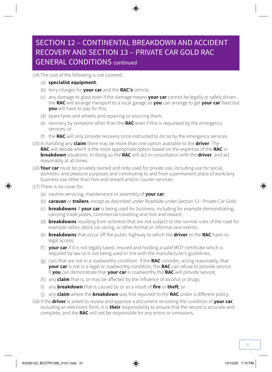### SECTION 12 – CONTINENTAL BREAKDOWN AND ACCIDENT RECOVERY AND SECTION 13 – PRIVATE CAR GOLD RAC GENERAL CONDITIONS continued

(14) The cost of the following is not covered:

- (a) **specialist equipment**;
- (b) ferry charges for **your car** and the **RAC's** vehicle;
- (c) any damage to glass even if the damage means **your car** cannot be legally or safely driven. the **RAC** will arrange transport to a local garage so **you** can arrange to get **your car** fixed but **you** will have to pay for this;
- (d) spare tyres and wheels and repairing or sourcing them;
- (e) recovery by someone other than the **RAC** even if this is requested by the emergency services; or
- (f) the **RAC** will only provide recovery once instructed to do so by the emergency services.
- (15)In handling any **claim** there may be more than one option available to the **driver**. The **RAC** will decide which is the most appropriate option based on the expertise of the **RAC** in **breakdown** situations. In doing so the **RAC** will act in consultation with the **driver**, and act reasonably at all times.
- (16) **Your car** must be privately owned and only used for private use, including use for social, domestic and pleasure purposes and commuting to and from a permanent place of work/any business use other than hire and reward and/or courier services.
- (17) There is no cover for:
	- (a) routine servicing, maintenance or assembly of **your car**;
	- (b) **caravan** or **trailers**, except as described under Roadside under Section 13 Private Car Gold;
	- (c) **breakdowns** if **your car** is being used for business, including for example demonstrating, carrying trade plates, commercial travelling and hire and reward;
	- (d) **breakdowns** resulting from activities that are not subject to the normal rules of the road for example rallies, stock car racing, or other formal or informal race events;
	- (e) **breakdowns** that occur off the public highway to which the **driver** or the **RAC** have no legal access;
	- (f) **your car** if it is not legally taxed, insured and holding a valid MOT certificate which is required by law or is not being used in line with the manufacturer's guidelines;
	- (g) cars that are not in a roadworthy condition. If the **RAC** consider, acting reasonably, that **your car** is not in a legal or roadworthy condition, the **RAC** can refuse to provide service. If **you** can demonstrate that **your car** is roadworthy the **RAC** will provide service;
	- (h) any **claim** that is, or may be affected by the influence of alcohol or drugs;
	- (i) any **breakdown** that is caused by or as a result of **fire** or **theft**; or
	- (j) any **claim** where the **breakdown** was first reported to the **RAC** under a different policy.
- (18)If the **driver** is asked to review and approve a document recording the condition of **your car**, including an electronic form, it is **their** responsibility to ensure that the record is accurate and complete, and the **RAC** will not be responsible for any errors or omissions.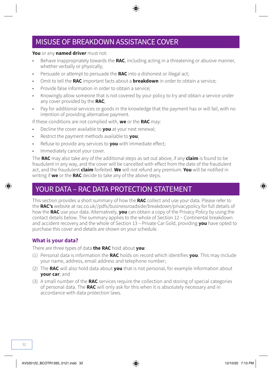### MISUSE OF BREAKDOWN ASSISTANCE COVER

#### **You** or any **named driver** must not:

- Behave inappropriately towards the **RAC**, including acting in a threatening or abusive manner, whether verbally or physically;
- Persuade or attempt to persuade the **RAC** into a dishonest or illegal act;
- Omit to tell the **RAC** important facts about a **breakdown** in order to obtain a service;
- Provide false information in order to obtain a service;
- Knowingly allow someone that is not covered by your policy to try and obtain a service under any cover provided by the **RAC**;
- Pay for additional services or goods in the knowledge that the payment has or will fail, with no intention of providing alternative payment.

If these conditions are not complied with, **we** or the **RAC** may:

- Decline the cover available to **you** at your next renewal;
- Restrict the payment methods available to **you**;
- Refuse to provide any services to **you** with immediate effect;
- Immediately cancel your cover.

The **RAC** may also take any of the additional steps as set out above, if any **claim** is found to be fraudulent in any way, and the cover will be cancelled with effect from the date of the fraudulent act, and the fraudulent **claim** forfeited. **We** will not refund any premium. **You** will be notified in writing if **we** or the **RAC** decide to take any of the above steps.

### YOUR DATA – RAC DATA PROTECTION STATEMENT

This section provides a short summary of how the **RAC** collect and use your data. Please refer to the **RAC's** website at [rac.co.uk//pdfs/businessroadside/breakdown/privacypolicy](http://rac.co.uk//pdfs/businessroadside/breakdown/privacypolicy) for full details of how the **RAC** use your data. Alternatively, **you** can obtain a copy of the Privacy Policy by using the contact details below. The summary applies to the whole of Section 12 – Continental breakdown and accident recovery and the whole of Section 13 – Private Car Gold, providing **you** have opted to purchase this cover and details are shown on your schedule.

#### **What is your data?**

There are three types of data **the RAC** hold about **you**:

- (1) Personal data is information the **RAC** holds on record which identifies **you**. This may include your name, address, email address and telephone number;
- (2) The **RAC** will also hold data about **you** that is not personal, for example information about **your car**; and
- (3) A small number of the **RAC** services require the collection and storing of special categories of personal data. The **RAC** will only ask for this when it is absolutely necessary and in accordance with data protection laws.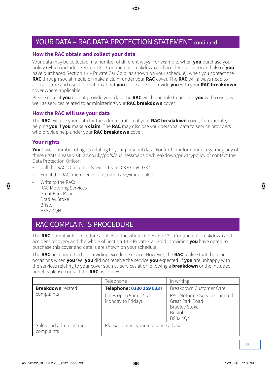### YOUR DATA – RAC DATA PROTECTION STATEMENT continued

#### **How the RAC obtain and collect your data**

Your data may be collected in a number of different ways. For example, when **you** purchase your policy (which includes Section 12 – Continental breakdown and accident recovery and also if **you** have purchased Section 13 – Private Car Gold, as shown on your schedule), when you contact the **RAC** through social media or make a claim under your **RAC** cover. The **RAC** will always need to collect, store and use information about **you** to be able to provide **you** with your **RAC breakdown** cover where applicable.

Please note, if **you** do not provide your data the **RAC** will be unable to provide **you** with cover, as well as services related to administering your **RAC breakdown** cover.

#### **How the RAC will use your data**

The **RAC** will use your data for the administration of your **RAC breakdown** cover, for example, helping **you** if **you** make a **claim**. The **RAC** may disclose your personal data to service providers who provide help under your **RAC breakdown** cover.

#### **Your rights**

**You** have a number of rights relating to your personal data. For further information regarding any of these rights please visit [rac.co.uk//pdfs/businessroadside/breakdown/privacypolicy](http://rac.co.uk//pdfs/businessroadside/breakdown/privacypolicy) or contact the Data Protection Officer:

- Call the RAC's Customer Service Team: 0330 159 0337; or
- Email the RAC: [membershipcustomercare@rac.co.uk;](mailto:membershipcustomercare@rac.co.uk) or
- Write to the RAC: RAC Motoring Services Great Park Road Bradley Stoke Bristol BS32 4QN

### RAC COMPLAINTS PROCEDURE

The **RAC** Complaints procedure applies to the whole of Section 12 – Continental breakdown and accident recovery and the whole of Section 13 – Private Car Gold, providing **you** have opted to purchase this cover and details are shown on your schedule.

The **RAC** are committed to providing excellent service. However, the **RAC** realise that there are occasions when **you** feel **you** did not receive the service **you** expected. If **you** are unhappy with the services relating to your cover such as services at or following a **breakdown** or the included benefits please contact the **RAC** as follows:

|                                        | Telephone                                   | In writing                                                                                                    |
|----------------------------------------|---------------------------------------------|---------------------------------------------------------------------------------------------------------------|
| <b>Breakdown</b> related               | Telephone: 0330 159 0337                    | Breakdown Customer Care                                                                                       |
| complaints                             | (lines open 9am - 5pm,<br>Monday to Friday) | RAC Motoring Services Limited<br>Great Park Road<br><b>Bradley Stoke</b><br><b>Bristol</b><br><b>BS32 40N</b> |
| Sales and administration<br>complaints | Please contact your insurance adviser       |                                                                                                               |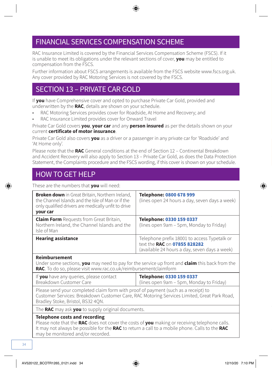### FINANCIAL SERVICES COMPENSATION SCHEME

RAC Insurance Limited is covered by the Financial Services Compensation Scheme (FSCS). If it is unable to meet its obligations under the relevant sections of cover, **you** may be entitled to compensation from the FSCS.

Further information about FSCS arrangements is available from the FSCS website [www.fscs.org.uk](http://www.fscs.org.uk). Any cover provided by RAC Motoring Services is not covered by the FSCS.

### SECTION 13 – PRIVATE CAR GOLD

If **you** have Comprehensive cover and opted to purchase Private Car Gold, provided and underwritten by the **RAC**, details are shown on your schedule.

- RAC Motoring Services provides cover for Roadside, At Home and Recovery; and
- RAC Insurance Limited provides cover for Onward Travel

Private Car Gold covers **you**, **your car** and any **person insured** as per the details shown on your current **certificate of motor insurance**.

Private Car Gold also covers **you** as a driver or a passenger in any private car for 'Roadside' and 'At Home only'.

Please note that the **RAC** General conditions at the end of Section 12 – Continental Breakdown and Accident Recovery will also apply to Section 13 – Private Car Gold, as does the Data Protection Statement, the Complaints procedure and the FSCS wording, if this cover is shown on your schedule.

### HOW TO GET HELP

These are the numbers that **you** will need:

| <b>Broken down</b> in Great Britain, Northern Ireland,<br>the Channel Islands and the Isle of Man or if the<br>only qualified drivers are medically unfit to drive<br>your car | Telephone: 0800 678 999<br>(lines open 24 hours a day, seven days a week)                                                     |
|--------------------------------------------------------------------------------------------------------------------------------------------------------------------------------|-------------------------------------------------------------------------------------------------------------------------------|
| <b>Claim Form</b> Requests from Great Britain,<br>Northern Ireland, the Channel Islands and the<br>Isle of Man                                                                 | Telephone: 0330 159 0337<br>(lines open 9am - 5pm, Monday to Friday)                                                          |
| <b>Hearing assistance</b>                                                                                                                                                      | Telephone prefix 18001 to access Typetalk or<br>text the RAC on 07855 828282<br>(available 24 hours a day, seven days a week) |

#### **Reimbursement**

Under some sections, **you** may need to pay for the service up front and **claim** this back from the **RAC**. To do so, please visit [www.rac.co.uk/reimbursementclaimform](http://www.rac.co.uk/reimbursementclaimform)

| If you have any queries, please contact | Telephone: 0330 159 0337                 |
|-----------------------------------------|------------------------------------------|
| Breakdown Customer Care                 | (lines open 9am – 5pm, Monday to Friday) |

Please send your completed claim form with proof of payment (such as a receipt) to Customer Services: Breakdown Customer Care, RAC Motoring Services Limited, Great Park Road, Bradley Stoke, Bristol, BS32 4QN.

The **RAC** may ask **you** to supply original documents.

#### **Telephone costs and recording**

Please note that the **RAC** does not cover the costs of **you** making or receiving telephone calls. It may not always be possible for the **RAC** to return a call to a mobile phone. Calls to the **RAC** may be monitored and/or recorded.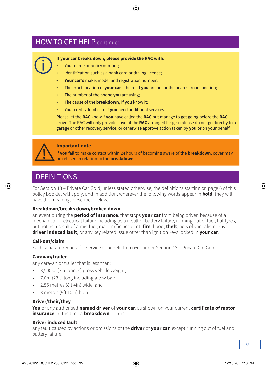### HOW TO GET HELP continued



#### **If your car breaks down, please provide the RAC with:**

- Your name or policy number;
- Identification such as a bank card or driving licence;
- **Your car's** make, model and registration number;
- The exact location of **your car**  the road **you** are on, or the nearest road junction;
- The number of the phone **you** are using;
- The cause of the **breakdown,** if **you** know it;
- Your credit/debit card if **you** need additional services.

Please let the **RAC** know if **you** have called the **RAC** but manage to get going before the **RAC**  arrive. The RAC will only provide cover if the **RAC** arranged help, so please do not go directly to a garage or other recovery service, or otherwise approve action taken by **you** or on your behalf.



#### **Important note**

If **you** fail to make contact within 24 hours of becoming aware of the **breakdown**, cover may be refused in relation to the **breakdown**.

### **DEFINITIONS**

For Section 13 – Private Car Gold, unless stated otherwise, the definitions starting on page 6 of this policy booklet will apply, and in addition, wherever the following words appear in **bold**, they will have the meanings described below.

#### **Breakdown/breaks down/broken down**

An event during the **period of insurance**, that stops **your car** from being driven because of a mechanical or electrical failure including as a result of battery failure, running out of fuel, flat tyres, but not as a result of a mis-fuel, road traffic accident, **fire**, flood, **theft**, acts of vandalism, any **driver induced fault**, or any key related issue other than ignition keys locked in **your car**.

#### **Call-out/claim**

Each separate request for service or benefit for cover under Section 13 – Private Car Gold.

#### **Caravan/trailer**

Any caravan or trailer that is less than:

- 3,500kg (3.5 tonnes) gross vehicle weight;
- 7.0m (23ft) long including a tow bar;
- 2.55 metres (8ft 4in) wide; and
- 3 metres (9ft 10in) high.

#### **Driver/their/they**

**You** or any authorised **named driver** of **your car**, as shown on your current **certificate of motor insurance**, at the time a **breakdown** occurs.

#### **Driver induced fault**

Any fault caused by actions or omissions of the **driver** of **your car**, except running out of fuel and battery failure.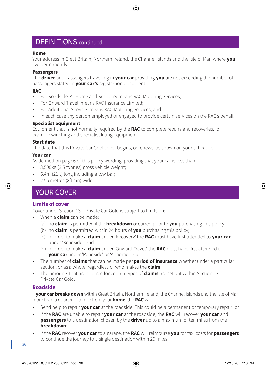### DEFINITIONS continued

#### **Home**

Your address in Great Britain, Northern Ireland, the Channel Islands and the Isle of Man where **you**  live permanently.

#### **Passengers**

The **driver** and passengers travelling in **your car** providing **you** are not exceeding the number of passengers stated in **your car's** registration document.

#### **RAC**

- For Roadside, At Home and Recovery means RAC Motoring Services;
- For Onward Travel, means RAC Insurance Limited;
- For Additional Services means RAC Motoring Services; and
- In each case any person employed or engaged to provide certain services on the RAC's behalf.

#### **Specialist equipment**

Equipment that is not normally required by the **RAC** to complete repairs and recoveries, for example winching and specialist lifting equipment.

#### **Start date**

The date that this Private Car Gold cover begins, or renews, as shown on your schedule.

#### **Your car**

As defined on page 6 of this policy wording, providing that your car is less than

- 3,500kg (3.5 tonnes) gross vehicle weight;
- 6.4m (21ft) long including a tow bar;
- 2.55 metres (8ft 4in) wide.

### YOUR COVER

#### **Limits of cover**

Cover under Section 13 – Private Car Gold is subject to limits on:

- When a **claim** can be made:
	- (a) no **claim** is permitted if the **breakdown** occurred prior to **you** purchasing this policy;
	- (b) no **claim** is permitted within 24 hours of **you** purchasing this policy;
	- (c) in order to make a **claim** under 'Recovery' the **RAC** must have first attended to **your car** under 'Roadside'; and
	- (d) in order to make a **claim** under 'Onward Travel', the **RAC** must have first attended to **your car** under 'Roadside' or 'At home'; and
- The number of **claims** that can be made per **period of insurance** whether under a particular section, or as a whole, regardless of who makes the **claim**;
- The amounts that are covered for certain types of **claims** are set out within Section 13 Private Car Gold.

#### **Roadside**

If **your car breaks down** within Great Britain, Northern Ireland, the Channel Islands and the Isle of Man more than a quarter of a mile from your **home**, the **RAC** will:

- Send help to repair **your car** at the roadside. This could be a permanent or temporary repair; or
- If the **RAC** are unable to repair **your car** at the roadside, the **RAC** will recover **your car** and **passengers** to a destination chosen by the **driver** up to a maximum of ten miles from the **breakdown**;
- If the **RAC** recover **your car** to a garage, the **RAC** will reimburse **you** for taxi costs for **passengers**  to continue the journey to a single destination within 20 miles.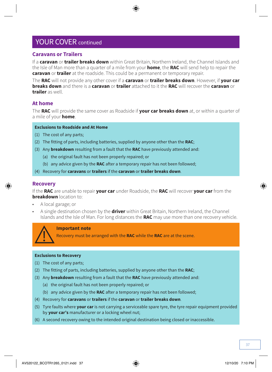#### **Caravans or Trailers**

If a **caravan** or **trailer breaks down** within Great Britain, Northern Ireland, the Channel Islands and the Isle of Man more than a quarter of a mile from your **home**, the **RAC** will send help to repair the **caravan** or **trailer** at the roadside. This could be a permanent or temporary repair.

The **RAC** will not provide any other cover if a **caravan** or **trailer breaks down**. However, if **your car breaks down** and there is a **caravan** or **trailer** attached to it the **RAC** will recover the **caravan** or **trailer** as well.

#### **At home**

The **RAC** will provide the same cover as Roadside if **your car breaks down** at, or within a quarter of a mile of your **home**.

#### **Exclusions to Roadside and At Home**

- (1) The cost of any parts;
- (2) The fitting of parts, including batteries, supplied by anyone other than the **RAC**;
- (3) Any **breakdown** resulting from a fault that the **RAC** have previously attended and:
	- (a) the original fault has not been properly repaired; or
	- (b) any advice given by the **RAC** after a temporary repair has not been followed;
- (4) Recovery for **caravans** or **trailers** if the **caravan** or **trailer breaks down**.

#### **Recovery**

If the **RAC** are unable to repair **your car** under Roadside, the **RAC** will recover **your car** from the **breakdown** location to:

- A local garage; or
- A single destination chosen by the **driver** within Great Britain, Northern Ireland, the Channel Islands and the Isle of Man. For long distances the **RAC** may use more than one recovery vehicle.



#### **Important note**

Recovery must be arranged with the **RAC** while the **RAC** are at the scene.

#### **Exclusions to Recovery**

- (1) The cost of any parts;
- (2) The fitting of parts, including batteries, supplied by anyone other than the **RAC**;
- (3) Any **breakdown** resulting from a fault that the **RAC** have previously attended and:
	- (a) the original fault has not been properly repaired; or
	- (b) any advice given by the **RAC** after a temporary repair has not been followed;
- (4) Recovery for **caravans** or **trailers** if the **caravan** or **trailer breaks down**.
- (5) Tyre faults where **your car** is not carrying a serviceable spare tyre, the tyre repair equipment provided by **your car's** manufacturer or a locking wheel nut;
- (6) A second recovery owing to the intended original destination being closed or inaccessible.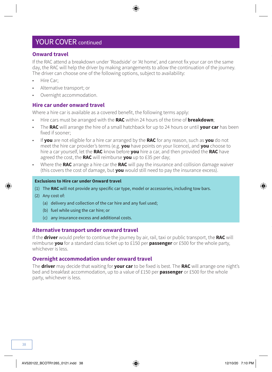#### **Onward travel**

If the RAC attend a breakdown under 'Roadside' or 'At home', and cannot fix your car on the same day, the RAC will help the driver by making arrangements to allow the continuation of the journey. The driver can choose one of the following options, subject to availability:

- Hire Car;
- Alternative transport; or
- Overnight accommodation.

#### **Hire car under onward travel**

Where a hire car is available as a covered benefit, the following terms apply:

- Hire cars must be arranged with the **RAC** within 24 hours of the time of **breakdown**;
- The **RAC** will arrange the hire of a small hatchback for up to 24 hours or until **your car** has been fixed if sooner;
- If **you** are not eligible for a hire car arranged by the **RAC** for any reason, such as **you** do not meet the hire car provider's terms (e.g. **you** have points on your licence), and **you** choose to hire a car yourself, let the **RAC** know before **you** hire a car, and then provided the **RAC** have agreed the cost, the **RAC** will reimburse **you** up to £35 per day;
- Where the **RAC** arrange a hire car the **RAC** will pay the insurance and collision damage waiver (this covers the cost of damage, but **you** would still need to pay the insurance excess).

#### **Exclusions to Hire car under Onward travel**

- (1) The **RAC** will not provide any specific car type, model or accessories, including tow bars.
- (2) Any cost of:
	- (a) delivery and collection of the car hire and any fuel used;
	- (b) fuel while using the car hire; or
	- (c) any insurance excess and additional costs.

#### **Alternative transport under onward travel**

If the **driver** would prefer to continue the journey by air, rail, taxi or public transport, the **RAC** will reimburse **you** for a standard class ticket up to £150 per **passenger** or £500 for the whole party, whichever is less.

#### **Overnight accommodation under onward travel**

The **driver** may decide that waiting for **your car** to be fixed is best. The **RAC** will arrange one night's bed and breakfast accommodation, up to a value of £150 per **passenger** or £500 for the whole party, whichever is less.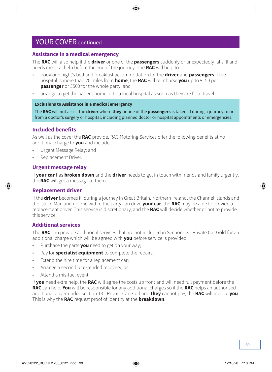#### **Assistance in a medical emergency**

The **RAC** will also help if the **driver** or one of the **passengers** suddenly or unexpectedly falls ill and needs medical help before the end of the journey. The **RAC** will help to:

- book one night's bed and breakfast accommodation for the **driver** and **passengers** if the hospital is more than 20 miles from **home**, the **RAC** will reimburse **you** up to £150 per **passenger** or £500 for the whole party; and
- arrange to get the patient home or to a local hospital as soon as they are fit to travel.

#### **Exclusions to Assistance in a medical emergency**

The **RAC** will not assist the **driver** where **they** or one of the **passengers** is taken ill during a journey to or from a doctor's surgery or hospital, including planned doctor or hospital appointments or emergencies.

#### **Included benefits**

As well as the cover the **RAC** provide, RAC Motoring Services offer the following benefits at no additional charge to **you** and include:

- Urgent Message Relay; and
- Replacement Driver.

#### **Urgent message relay**

If **your car** has **broken down** and the **driver** needs to get in touch with friends and family urgently, the **RAC** will get a message to them.

#### **Replacement driver**

If the **driver** becomes ill during a journey in Great Britain, Northern Ireland, the Channel Islands and the Isle of Man and no one within the party can drive **your car**, the **RAC** may be able to provide a replacement driver. This service is discretionary, and the **RAC** will decide whether or not to provide this service.

#### **Additional services**

The **RAC** can provide additional services that are not included in Section 13 - Private Car Gold for an additional charge which will be agreed with **you** before service is provided:

- Purchase the parts **you** need to get on your way;
- Pay for **specialist equipment** to complete the repairs;
- Extend the hire time for a replacement car;
- Arrange a second or extended recovery; or
- Attend a mis-fuel event.

If **you** need extra help, the **RAC** will agree the costs up front and will need full payment before the **RAC** can help. **You** will be responsible for any additional charges so if the **RAC** helps an authorised additional driver under Section 13 - Private Car Gold and **they** cannot pay, the **RAC** will invoice **you**. This is why the **RAC** request proof of identity at the **breakdown**.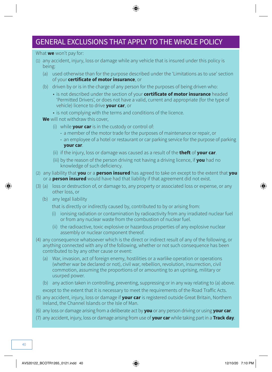### GENERAL EXCLUSIONS THAT APPLY TO THE WHOLE POLICY

#### What **we** won't pay for:

- (1) any accident, injury, loss or damage while any vehicle that is insured under this policy is being:
	- (a) used otherwise than for the purpose described under the 'Limitations as to use' section of your **certificate of motor insurance**, or
	- (b) driven by or is in the charge of any person for the purposes of being driven who:
		- is not described under the section of your **certificate of motor insurance** headed 'Permitted Drivers', or does not have a valid, current and appropriate (for the type of vehicle) licence to drive **your car**, or
		- is not complying with the terms and conditions of the licence.

**We** will not withdraw this cover,

- (i) while **your car** is in the custody or control of:
	- a member of the motor trade for the purposes of maintenance or repair, or
	- an employee of a hotel or restaurant or car parking service for the purpose of parking **your car**.
- (ii) if the injury, loss or damage was caused as a result of the **theft** of **your car**.
- (iii) by the reason of the person driving not having a driving licence, if **you** had no knowledge of such deficiency.
- (2) any liability that **you** or a **person insured** has agreed to take on except to the extent that **you** or a **person insured** would have had that liability if that agreement did not exist.
- (3) (a) loss or destruction of, or damage to, any property or associated loss or expense, or any other loss, or
	- (b) any legal liability
		- that is directly or indirectly caused by, contributed to by or arising from:
		- (i) ionising radiation or contamination by radioactivity from any irradiated nuclear fuel or from any nuclear waste from the combustion of nuclear fuel.
		- (ii) the radioactive, toxic explosive or hazardous properties of any explosive nuclear assembly or nuclear component thereof.
- (4) any consequence whatsoever which is the direct or indirect result of any of the following, or anything connected with any of the following, whether or not such consequence has been contributed to by any other cause or event:
	- (a) War, invasion, act of foreign enemy, hostilities or a warlike operation or operations (whether war be declared or not), civil war, rebellion, revolution, insurrection, civil commotion, assuming the proportions of or amounting to an uprising, military or usurped power.
	- (b) any action taken in controlling, preventing, suppressing or in any way relating to (a) above. except to the extent that it is necessary to meet the requirements of the Road Traffic Acts.
- (5) any accident, injury, loss or damage if **your car** is registered outside Great Britain, Northern Ireland, the Channel Islands or the Isle of Man.
- (6) any loss or damage arising from a deliberate act by **you** or any person driving or using **your car**.
- (7) any accident, injury, loss or damage arising from use of **your car** while taking part in a **Track day**.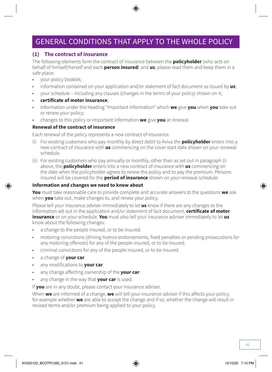### GENERAL CONDITIONS THAT APPLY TO THE WHOLE POLICY

#### **(1) The contract of insurance**

The following elements form the contract of insurance between the **policyholder** (who acts on behalf of himself/herself and each **person insured**) and **us**, please read them and keep them in a safe place:

- your policy booklet;
- information contained on your application and/or statement of fact document as issued by **us**;
- your schedule including any clauses (changes in the terms of your policy) shown on it;
- **certificate of motor insurance**;
- Information under the heading "Important Information" which **we** give **you** when **you** take out or renew your policy;
- changes to this policy or important information **we** give **you** at renewal.

#### **Renewal of the contract of insurance**

Each renewal of the policy represents a new contract of insurance.

- (i) For existing customers who pay monthly by direct debit to Aviva the **policyholder** enters into a new contract of insurance with **us** commencing on the cover start date shown on your renewal schedule.
- (ii) For existing customers who pay annually or monthly, other than as set out in paragraph (i) above, the **policyholder** enters into a new contract of insurance with **us** commencing on the date when the policyholder agrees to renew the policy and to pay the premium. Persons insured will be covered for the **period of insurance** shown on your renewal schedule.

#### **Information and changes we need to know about**

**You** must take reasonable care to provide complete and accurate answers to the questions **we** ask when **you** take out, make changes to, and renew your policy.

Please tell your insurance adviser immediately to let **us** know if there are any changes to the information set out in the application and/or statement of fact document, **certificate of motor insurance** or on your schedule. **You** must also tell your insurance adviser immediately to let **us**  know about the following changes:

- a change to the people insured, or to be insured.
- motoring convictions (driving licence endorsements, fixed penalties or pending prosecutions for any motoring offences) for any of the people insured, or to be insured.
- criminal convictions for any of the people insured, or to be insured.
- a change of **your car**.
- any modifications to **your car**.
- any change affecting ownership of the **your car**.
- any change in the way that **your car** is used.

If **you** are in any doubt, please contact your insurance adviser.

When **we** are informed of a change, **we** will tell your insurance adviser if this affects your policy, for example whether **we** are able to accept the change and if so, whether the change will result in revised terms and/or premium being applied to your policy.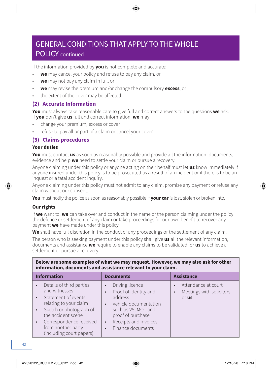### GENERAL CONDITIONS THAT APPLY TO THE WHOLE POLICY continued

If the information provided by **you** is not complete and accurate:

- **we** may cancel your policy and refuse to pay any claim, or
- **we** may not pay any claim in full, or
- **we** may revise the premium and/or change the compulsory **excess**, or
- the extent of the cover may be affected.

#### **(2) Accurate Information**

**You** must always take reasonable care to give full and correct answers to the questions **we** ask. If **you** don't give **us** full and correct information, **we** may:

- change your premium, excess or cover
- refuse to pay all or part of a claim or cancel your cover

#### **(3) Claims procedures**

#### **Your duties**

**You** must contact **us** as soon as reasonably possible and provide all the information, documents, evidence and help **we** need to settle your claim or pursue a recovery.

Anyone claiming under this policy or anyone acting on their behalf must let **us** know immediately if anyone insured under this policy is to be prosecuted as a result of an incident or if there is to be an inquest or a fatal accident inquiry.

Anyone claiming under this policy must not admit to any claim, promise any payment or refuse any claim without our consent.

**You** must notify the police as soon as reasonably possible if **your car** is lost, stolen or broken into.

#### **Our rights**

If **we** want to, **we** can take over and conduct in the name of the person claiming under the policy the defence or settlement of any claim or take proceedings for our own benefit to recover any payment **we** have made under this policy.

**We** shall have full discretion in the conduct of any proceedings or the settlement of any claim.

The person who is seeking payment under this policy shall give **us** all the relevant information, documents and assistance **we** require to enable any claims to be validated for **us** to achieve a settlement or pursue a recovery.

| Below are some examples of what we may request. However, we may also ask for other<br>information, documents and assistance relevant to your claim.                                |                                                                                                                                                                 |                                                                            |  |
|------------------------------------------------------------------------------------------------------------------------------------------------------------------------------------|-----------------------------------------------------------------------------------------------------------------------------------------------------------------|----------------------------------------------------------------------------|--|
| <b>Information</b>                                                                                                                                                                 | <b>Documents</b>                                                                                                                                                | <b>Assistance</b>                                                          |  |
| Details of third parties<br>$\bullet$<br>and witnesses<br>Statement of events<br>$\bullet$<br>relating to your claim<br>Sketch or photograph of<br>$\bullet$<br>the accident scene | Driving licence<br>$\bullet$<br>Proof of identity and<br>$\bullet$<br>address<br>Vehicle documentation<br>$\bullet$<br>such as V5, MOT and<br>proof of purchase | Attendance at court<br>٠<br>Meetings with solicitors<br>$\bullet$<br>or us |  |
| Correspondence received<br>$\bullet$<br>from another party<br>(including court papers)                                                                                             | Receipts and invoices<br>$\bullet$<br>Finance documents<br>$\bullet$                                                                                            |                                                                            |  |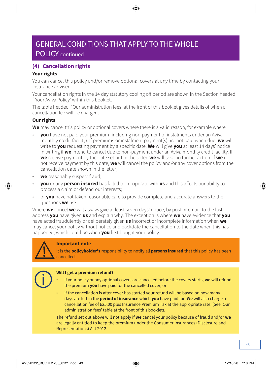### GENERAL CONDITIONS THAT APPLY TO THE WHOLE POLICY continued

### **(4) Cancellation rights**

#### **Your rights**

You can cancel this policy and/or remove optional covers at any time by contacting your insurance adviser.

Your cancellation rights in the 14 day statutory cooling off period are shown in the Section headed `Your Aviva Policy' within this booklet.

The table headed `Our administration fees' at the front of this booklet gives details of when a cancellation fee will be charged.

#### **Our rights**

**We** may cancel this policy or optional covers where there is a valid reason, for example where:

- **you** have not paid your premium (including non-payment of instalments under an Aviva monthly credit facility). If premiums or instalment payment(s) are not paid when due, **we** will write to **you** requesting payment by a specific date. **We** will give **you** at least 14 days' notice in writing if **we** intend to cancel due to non-payment under an Aviva monthly credit facility. If **we** receive payment by the date set out in the letter, **we** will take no further action. If **we** do not receive payment by this date, **we** will cancel the policy and/or any cover options from the cancellation date shown in the letter;
- **we** reasonably suspect fraud;
- **you** or any **person insured** has failed to co-operate with **us** and this affects our ability to process a claim or defend our interests;
- or **you** have not taken reasonable care to provide complete and accurate answers to the questions **we** ask.

Where **we** cancel **we** will always give at least seven days' notice, by post or email, to the last address **you** have given **us** and explain why. The exception is where **we** have evidence that **you** have acted fraudulently or deliberately given **us** incorrect or incomplete information when **we**  may cancel your policy without notice and backdate the cancellation to the date when this has happened, which could be when **you** first bought your policy.



#### **Important note**

It is the **policyholder's** responsibility to notify all **persons insured** that this policy has been cancelled.



#### **Will I get a premium refund?**

- If your policy or any optional covers are cancelled before the covers starts, **we** will refund the premium **you** have paid for the cancelled cover; or
- if the cancellation is after cover has started your refund will be based on how many days are left in the **period of insurance** which **you** have paid for. **We** will also charge a cancellation fee of £25.00 plus Insurance Premium Tax at the appropriate rate. (See 'Our administration fees' table at the front of this booklet).

The refund set out above will not apply if **we** cancel your policy because of fraud and/or **we** are legally entitled to keep the premium under the Consumer Insurances (Disclosure and Representations) Act 2012.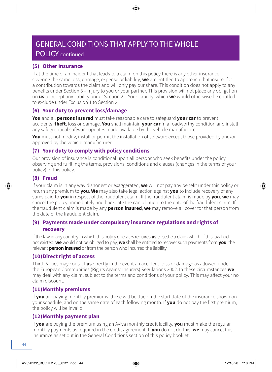## GENERAL CONDITIONS THAT APPLY TO THE WHOLE

### POLICY continued

#### **(5) Other insurance**

If at the time of an incident that leads to a claim on this policy there is any other insurance covering the same loss, damage, expense or liability, **we** are entitled to approach that insurer for a contribution towards the claim and will only pay our share. This condition does not apply to any benefits under Section 3 – Injury to you or your partner. This provision will not place any obligation on **us** to accept any liability under Section 2 – Your liability, which **we** would otherwise be entitled to exclude under Exclusion 1 to Section 2.

#### **(6) Your duty to prevent loss/damage**

**You** and all **persons insured** must take reasonable care to safeguard **your car** to prevent accidents, **theft**, loss or damage. **You** shall maintain **your car** in a roadworthy condition and install any safety critical software updates made available by the vehicle manufacturer.

**You** must not modify, install or permit the installation of software except those provided by and/or approved by the vehicle manufacturer.

#### **(7) Your duty to comply with policy conditions**

Our provision of insurance is conditional upon all persons who seek benefits under the policy observing and fulfilling the terms, provisions, conditions and clauses (changes in the terms of your policy) of this policy.

#### **(8) Fraud**

If your claim is in any way dishonest or exaggerated, **we** will not pay any benefit under this policy or return any premium to **you**. **We** may also take legal action against **you** to include recovery of any sums paid to **you** in respect of the fraudulent claim. If the fraudulent claim is made by **you**, **we** may cancel the policy immediately and backdate the cancellation to the date of the fraudulent claim. If the fraudulent claim is made by any **person insured**, **we** may remove all cover for that person from the date of the fraudulent claim.

#### **(9) Payments made under compulsory insurance regulations and rights of recovery**

If the law in any country in which this policy operates requires **us** to settle a claim which, if this law had not existed, **we** would not be obliged to pay, **we** shall be entitled to recover such payments from **you**, the relevant **person insured** or from the person who incurred the liability.

#### **(10)Direct right of access**

Third Parties may contact **us** directly in the event an accident, loss or damage as allowed under the European Communities (Rights Against Insurers) Regulations 2002. In these circumstances **we** may deal with any claim, subject to the terms and conditions of your policy. This may affect your no claim discount.

#### **(11)Monthly premiums**

If **you** are paying monthly premiums, these will be due on the start date of the insurance shown on your schedule, and on the same date of each following month. If **you** do not pay the first premium, the policy will be invalid.

#### **(12)Monthly payment plan**

If **you** are paying the premium using an Aviva monthly credit facility, **you** must make the regular monthly payments as required in the credit agreement. If **you** do not do this, **we** may cancel this insurance as set out in the General Conditions section of this policy booklet.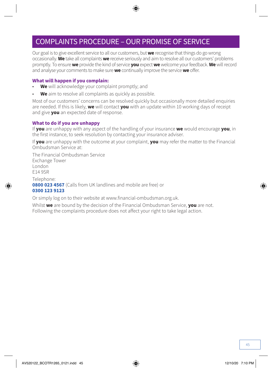### COMPLAINTS PROCEDURE – OUR PROMISE OF SERVICE

Our goal is to give excellent service to all our customers, but **we** recognise that things do go wrong occasionally. **We** take all complaints **we** receive seriously and aim to resolve all our customers' problems promptly. To ensure **we** provide the kind of service **you** expect **we** welcome your feedback. **We** will record and analyse your comments to make sure **we** continually improve the service **we** offer.

#### **What will happen if you complain:**

- **We** will acknowledge your complaint promptly; and
- **We** aim to resolve all complaints as quickly as possible.

Most of our customers' concerns can be resolved quickly but occasionally more detailed enquiries are needed. If this is likely, **we** will contact **you** with an update within 10 working days of receipt and give **you** an expected date of response.

#### **What to do if you are unhappy**

If **you** are unhappy with any aspect of the handling of your insurance **we** would encourage **you**, in the first instance, to seek resolution by contacting your insurance adviser.

If **you** are unhappy with the outcome at your complaint, **you** may refer the matter to the Financial Ombudsman Service at:

The Financial Ombudsman Service Exchange Tower London E14 9SR

Telephone: **0800 023 4567** (Calls from UK landlines and mobile are free) or **0300 123 9123**

Or simply log on to their website at [www.financial-ombudsman.org.uk](http://www.financial-ombudsman.org.uk).

Whilst **we** are bound by the decision of the Financial Ombudsman Service, **you** are not. Following the complaints procedure does not affect your right to take legal action.